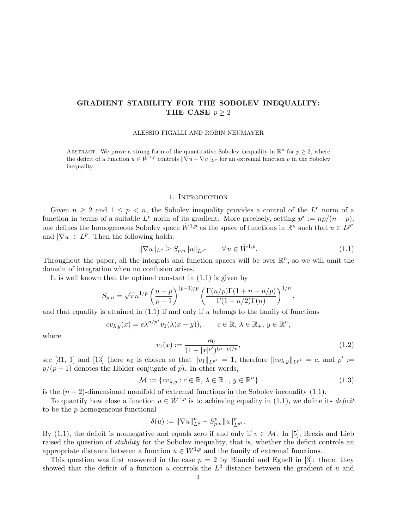# GRADIENT STABILITY FOR THE SOBOLEV INEQUALITY: THE CASE  $p > 2$

ALESSIO FIGALLI AND ROBIN NEUMAYER

ABSTRACT. We prove a strong form of the quantitative Sobolev inequality in  $\mathbb{R}^n$  for  $p \geq 2$ , where the deficit of a function  $u \in W^{1,p}$  controls  $\|\nabla u - \nabla v\|_{L^p}$  for an extremal function v in the Sobolev inequality.

### 1. INTRODUCTION

Given  $n \geq 2$  and  $1 \leq p \leq n$ , the Sobolev inequality provides a control of the L<sup>r</sup> norm of a function in terms of a suitable  $L^p$  norm of its gradient. More precisely, setting  $p^* := np/(n - p)$ , one defines the homogeneous Sobolev space  $\dot{W}^{1,p}$  as the space of functions in  $\mathbb{R}^n$  such that  $u \in L^{p^*}$ and  $|\nabla u| \in L^p$ . Then the following holds:

$$
\|\nabla u\|_{L^p} \ge S_{p,n} \|u\|_{L^{p^*}} \qquad \forall \, u \in \dot{W}^{1,p}.\tag{1.1}
$$

Throughout the paper, all the integrals and function spaces will be over  $\mathbb{R}^n$ , so we will omit the domain of integration when no confusion arises.

It is well known that the optimal constant in (1.1) is given by

$$
S_{p,n} = \sqrt{\pi} n^{1/p} \left(\frac{n-p}{p-1}\right)^{(p-1)/p} \left(\frac{\Gamma(n/p)\Gamma(1+n-n/p)}{\Gamma(1+n/2)\Gamma(n)}\right)^{1/n},
$$

and that equality is attained in  $(1.1)$  if and only if u belongs to the family of functions

$$
cv_{\lambda,y}(x) = c\lambda^{n/p^*}v_1(\lambda(x-y)), \qquad c \in \mathbb{R}, \lambda \in \mathbb{R}_+, y \in \mathbb{R}^n,
$$

where

$$
v_1(x) := \frac{\kappa_0}{(1+|x|^{p'})^{(n-p)/p}},\tag{1.2}
$$

see [31, 1] and [13] (here  $\kappa_0$  is chosen so that  $||v_1||_{L^{p^*}} = 1$ , therefore  $||cv_{\lambda,y}||_{L^{p^*}} = c$ , and  $p' :=$  $p/(p-1)$  denotes the Hölder conjugate of p). In other words,

$$
\mathcal{M} := \{cv_{\lambda,y} : c \in \mathbb{R}, \lambda \in \mathbb{R}_+, y \in \mathbb{R}^n\}
$$
\n(1.3)

is the  $(n + 2)$ -dimensional manifold of extremal functions in the Sobolev inequality  $(1.1)$ .

To quantify how close a function  $u \in \dot{W}^{1,p}$  is to achieving equality in (1.1), we define its *deficit* to be the p-homogeneous functional

$$
\delta(u) := \|\nabla u\|_{L^p}^p - S_{p,n}^p \|u\|_{L^{p^*}}^p.
$$

By (1.1), the deficit is nonnegative and equals zero if and only if  $v \in \mathcal{M}$ . In [5], Brezis and Lieb raised the question of *stability* for the Sobolev inequality, that is, whether the deficit controls an appropriate distance between a function  $u \in \dot{W}^{1,p}$  and the family of extremal functions.

This question was first answered in the case  $p = 2$  by Bianchi and Egnell in [3]: there, they showed that the deficit of a function u controls the  $L^2$  distance between the gradient of u and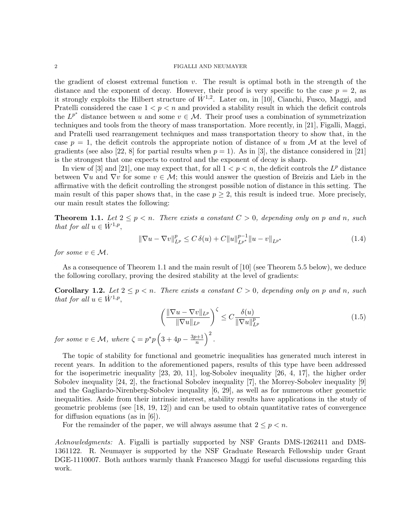the gradient of closest extremal function  $v$ . The result is optimal both in the strength of the distance and the exponent of decay. However, their proof is very specific to the case  $p = 2$ , as it strongly exploits the Hilbert structure of  $\dot{W}^{1,2}$ . Later on, in [10], Cianchi, Fusco, Maggi, and Pratelli considered the case  $1 < p < n$  and provided a stability result in which the deficit controls the  $L^{p^*}$  distance between u and some  $v \in \mathcal{M}$ . Their proof uses a combination of symmetrization techniques and tools from the theory of mass transportation. More recently, in [21], Figalli, Maggi, and Pratelli used rearrangement techniques and mass transportation theory to show that, in the case  $p = 1$ , the deficit controls the appropriate notion of distance of u from M at the level of gradients (see also [22, 8] for partial results when  $p = 1$ ). As in [3], the distance considered in [21] is the strongest that one expects to control and the exponent of decay is sharp.

In view of [3] and [21], one may expect that, for all  $1 < p < n$ , the deficit controls the  $L^p$  distance between  $\nabla u$  and  $\nabla v$  for some  $v \in \mathcal{M}$ ; this would answer the question of Breizis and Lieb in the affirmative with the deficit controlling the strongest possible notion of distance in this setting. The main result of this paper shows that, in the case  $p \geq 2$ , this result is indeed true. More precisely, our main result states the following:

**Theorem 1.1.** Let  $2 \leq p \leq n$ . There exists a constant  $C > 0$ , depending only on p and n, such that for all  $u \in \dot{W}^{1,p}$ ,

$$
\|\nabla u - \nabla v\|_{L^p}^p \le C \,\delta(u) + C \|u\|_{L^{p^*}}^{p-1} \|u - v\|_{L^{p^*}} \tag{1.4}
$$

for some  $v \in \mathcal{M}$ .

As a consequence of Theorem 1.1 and the main result of [10] (see Theorem 5.5 below), we deduce the following corollary, proving the desired stability at the level of gradients:

**Corollary 1.2.** Let  $2 \leq p \leq n$ . There exists a constant  $C > 0$ , depending only on p and n, such that for all  $u \in \dot{W}^{1,p}$ ,

$$
\left(\frac{\|\nabla u - \nabla v\|_{L^p}}{\|\nabla u\|_{L^p}}\right)^{\zeta} \le C \frac{\delta(u)}{\|\nabla u\|_{L^p}^p}
$$
\n(1.5)

for some  $v \in \mathcal{M}$ , where  $\zeta = p^*p\left(3 + 4p - \frac{3p+1}{n}\right)$  $\frac{p+1}{n}\Big)^2$ .

The topic of stability for functional and geometric inequalities has generated much interest in recent years. In addition to the aforementioned papers, results of this type have been addressed for the isoperimetric inequality [23, 20, 11], log-Sobolev inequality [26, 4, 17], the higher order Sobolev inequality [24, 2], the fractional Sobolev inequality [7], the Morrey-Sobolev inequality [9] and the Gagliardo-Nirenberg-Sobolev inequality [6, 29], as well as for numerous other geometric inequalities. Aside from their intrinsic interest, stability results have applications in the study of geometric problems (see [18, 19, 12]) and can be used to obtain quantitative rates of convergence for diffusion equations (as in [6]).

For the remainder of the paper, we will always assume that  $2 \leq p < n$ .

Acknowledgments: A. Figalli is partially supported by NSF Grants DMS-1262411 and DMS-1361122. R. Neumayer is supported by the NSF Graduate Research Fellowship under Grant DGE-1110007. Both authors warmly thank Francesco Maggi for useful discussions regarding this work.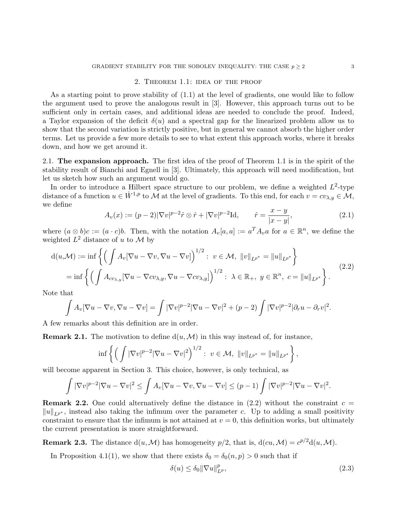## 2. Theorem 1.1: idea of the proof

As a starting point to prove stability of (1.1) at the level of gradients, one would like to follow the argument used to prove the analogous result in [3]. However, this approach turns out to be sufficient only in certain cases, and additional ideas are needed to conclude the proof. Indeed, a Taylor expansion of the deficit  $\delta(u)$  and a spectral gap for the linearized problem allow us to show that the second variation is strictly positive, but in general we cannot absorb the higher order terms. Let us provide a few more details to see to what extent this approach works, where it breaks down, and how we get around it.

2.1. The expansion approach. The first idea of the proof of Theorem 1.1 is in the spirit of the stability result of Bianchi and Egnell in [3]. Ultimately, this approach will need modification, but let us sketch how such an argument would go.

In order to introduce a Hilbert space structure to our problem, we define a weighted  $L^2$ -type distance of a function  $u \in \dot{W}^{1,p}$  to M at the level of gradients. To this end, for each  $v = cv_{\lambda,y} \in \mathcal{M}$ , we define

$$
A_v(x) := (p-2)|\nabla v|^{p-2}\hat{r} \otimes \hat{r} + |\nabla v|^{p-2} \text{Id}, \qquad \hat{r} = \frac{x-y}{|x-y|}, \tag{2.1}
$$

where  $(a \otimes b)c := (a \cdot c)b$ . Then, with the notation  $A_v[a, a] := a^T A_v a$  for  $a \in \mathbb{R}^n$ , we define the weighted  $L^2$  distance of u to M by

$$
d(u,\mathcal{M}) := \inf \left\{ \left( \int A_v [\nabla u - \nabla v, \nabla u - \nabla v] \right)^{1/2} : v \in \mathcal{M}, ||v||_{L^{p^*}} = ||u||_{L^{p^*}} \right\}
$$
  
= 
$$
\inf \left\{ \left( \int A_{cv_{\lambda,y}} [\nabla u - \nabla cv_{\lambda,y}, \nabla u - \nabla cv_{\lambda,y}] \right)^{1/2} : \lambda \in \mathbb{R}_+, y \in \mathbb{R}^n, c = ||u||_{L^{p^*}} \right\}.
$$
 (2.2)

Note that

$$
\int A_v [\nabla u - \nabla v, \nabla u - \nabla v] = \int |\nabla v|^{p-2} |\nabla u - \nabla v|^2 + (p-2) \int |\nabla v|^{p-2} |\partial_r u - \partial_r v|^2.
$$

A few remarks about this definition are in order.

**Remark 2.1.** The motivation to define  $d(u, \mathcal{M})$  in this way instead of, for instance,

$$
\inf \left\{ \left( \int |\nabla v|^{p-2} |\nabla u - \nabla v|^2 \right)^{1/2} : \ v \in \mathcal{M}, \ ||v||_{L^{p^*}} = ||u||_{L^{p^*}} \right\},\
$$

will become apparent in Section 3. This choice, however, is only technical, as

$$
\int |\nabla v|^{p-2} |\nabla u - \nabla v|^2 \le \int A_v [\nabla u - \nabla v, \nabla u - \nabla v] \le (p-1) \int |\nabla v|^{p-2} |\nabla u - \nabla v|^2.
$$

**Remark 2.2.** One could alternatively define the distance in  $(2.2)$  without the constraint  $c =$  $||u||_{L^{p^*}}$ , instead also taking the infimum over the parameter c. Up to adding a small positivity constraint to ensure that the infimum is not attained at  $v = 0$ , this definition works, but ultimately the current presentation is more straightforward.

**Remark 2.3.** The distance  $d(u, M)$  has homogeneity  $p/2$ , that is,  $d(cu, M) = c^{p/2}d(u, M)$ .

In Proposition 4.1(1), we show that there exists  $\delta_0 = \delta_0(n, p) > 0$  such that if

$$
\delta(u) \le \delta_0 \|\nabla u\|_{L^p}^p,\tag{2.3}
$$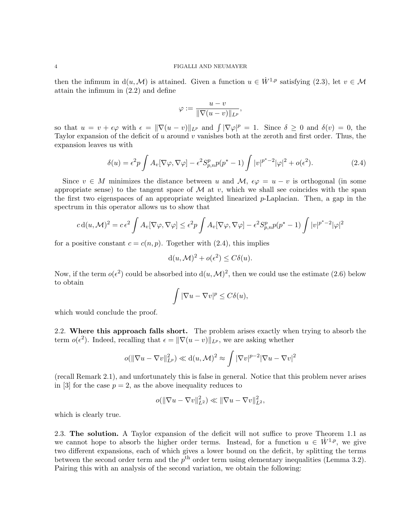then the infimum in  $d(u, \mathcal{M})$  is attained. Given a function  $u \in \dot{W}^{1,p}$  satisfying (2.3), let  $v \in \mathcal{M}$ attain the infimum in (2.2) and define

$$
\varphi := \frac{u - v}{\|\nabla(u - v)\|_{L^p}},
$$

so that  $u = v + \epsilon \varphi$  with  $\epsilon = ||\nabla(u - v)||_{L^p}$  and  $\int |\nabla \varphi|^p = 1$ . Since  $\delta \geq 0$  and  $\delta(v) = 0$ , the Taylor expansion of the deficit of  $u$  around  $v$  vanishes both at the zeroth and first order. Thus, the expansion leaves us with

$$
\delta(u) = \epsilon^2 p \int A_v [\nabla \varphi, \nabla \varphi] - \epsilon^2 S_{p,n}^p p(p^* - 1) \int |v|^{p^*-2} |\varphi|^2 + o(\epsilon^2).
$$
 (2.4)

Since  $v \in M$  minimizes the distance between u and  $\mathcal{M}, \epsilon \varphi = u - v$  is orthogonal (in some appropriate sense) to the tangent space of  $\mathcal M$  at v, which we shall see coincides with the span the first two eigenspaces of an appropriate weighted linearized p-Laplacian. Then, a gap in the spectrum in this operator allows us to show that

$$
c d(u, \mathcal{M})^2 = c \epsilon^2 \int A_v [\nabla \varphi, \nabla \varphi] \le \epsilon^2 p \int A_v [\nabla \varphi, \nabla \varphi] - \epsilon^2 S_{p,n}^p p(p^* - 1) \int |v|^{p^*-2} |\varphi|^2
$$

for a positive constant  $c = c(n, p)$ . Together with (2.4), this implies

$$
d(u, \mathcal{M})^2 + o(\epsilon^2) \le C\delta(u).
$$

Now, if the term  $o(\epsilon^2)$  could be absorbed into  $d(u, M)^2$ , then we could use the estimate (2.6) below to obtain

$$
\int |\nabla u - \nabla v|^p \le C\delta(u),
$$

which would conclude the proof.

2.2. Where this approach falls short. The problem arises exactly when trying to absorb the term  $o(\epsilon^2)$ . Indeed, recalling that  $\epsilon = ||\nabla(u - v)||_{L^p}$ , we are asking whether

$$
o(||\nabla u - \nabla v||_{L^p}^2) \ll d(u, \mathcal{M})^2 \approx \int |\nabla v|^{p-2} |\nabla u - \nabla v|^2
$$

(recall Remark 2.1), and unfortunately this is false in general. Notice that this problem never arises in [3] for the case  $p = 2$ , as the above inequality reduces to

$$
o(||\nabla u - \nabla v||_{L^2}^2) \ll ||\nabla u - \nabla v||_{L^2}^2,
$$

which is clearly true.

2.3. The solution. A Taylor expansion of the deficit will not suffice to prove Theorem 1.1 as we cannot hope to absorb the higher order terms. Instead, for a function  $u \in \dot{W}^{1,p}$ , we give two different expansions, each of which gives a lower bound on the deficit, by splitting the terms between the second order term and the  $p<sup>th</sup>$  order term using elementary inequalities (Lemma 3.2). Pairing this with an analysis of the second variation, we obtain the following: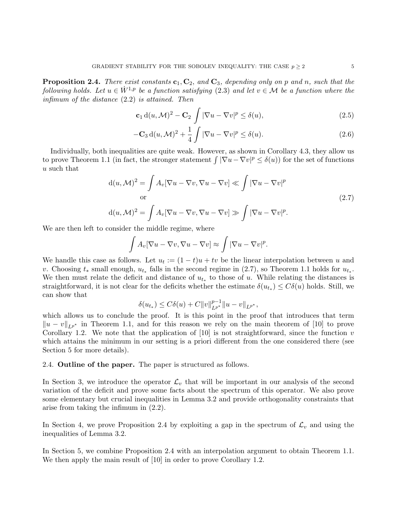**Proposition 2.4.** There exist constants  $c_1, C_2$ , and  $C_3$ , depending only on p and n, such that the following holds. Let  $u \in \dot{W}^{1,p}$  be a function satisfying (2.3) and let  $v \in \mathcal{M}$  be a function where the infimum of the distance (2.2) is attained. Then

$$
\mathbf{c}_1 d(u, \mathcal{M})^2 - \mathbf{C}_2 \int |\nabla u - \nabla v|^p \le \delta(u), \tag{2.5}
$$

$$
-\mathbf{C}_3 d(u, \mathcal{M})^2 + \frac{1}{4} \int |\nabla u - \nabla v|^p \le \delta(u). \tag{2.6}
$$

Individually, both inequalities are quite weak. However, as shown in Corollary 4.3, they allow us to prove Theorem 1.1 (in fact, the stronger statement  $\int |\nabla u - \nabla v|^p \leq \delta(u)$ ) for the set of functions u such that

$$
d(u, M)^2 = \int A_v [\nabla u - \nabla v, \nabla u - \nabla v] \ll \int |\nabla u - \nabla v|^p
$$
  
or  

$$
d(u, M)^2 = \int A_v [\nabla u - \nabla v, \nabla u - \nabla v] \gg \int |\nabla u - \nabla v|^p.
$$

We are then left to consider the middle regime, where

$$
\int A_v [\nabla u - \nabla v, \nabla u - \nabla v] \approx \int |\nabla u - \nabla v|^p.
$$

We handle this case as follows. Let  $u_t := (1-t)u + tv$  be the linear interpolation between u and v. Choosing  $t_*$  small enough,  $u_{t_*}$  falls in the second regime in (2.7), so Theorem 1.1 holds for  $u_{t_*}$ . We then must relate the deficit and distance of  $u_{t_*}$  to those of u. While relating the distances is straightforward, it is not clear for the deficits whether the estimate  $\delta(u_{t_*}) \leq C\delta(u)$  holds. Still, we can show that

$$
\delta(u_{t*}) \leq C\delta(u) + C||v||_{L^{p^*}}^{p-1}||u - v||_{L^{p^*}},
$$

which allows us to conclude the proof. It is this point in the proof that introduces that term  $||u - v||_{L^{p^*}}$  in Theorem 1.1, and for this reason we rely on the main theorem of [10] to prove Corollary 1.2. We note that the application of  $[10]$  is not straightforward, since the function v which attains the minimum in our setting is a priori different from the one considered there (see Section 5 for more details).

2.4. Outline of the paper. The paper is structured as follows.

In Section 3, we introduce the operator  $\mathcal{L}_v$  that will be important in our analysis of the second variation of the deficit and prove some facts about the spectrum of this operator. We also prove some elementary but crucial inequalities in Lemma 3.2 and provide orthogonality constraints that arise from taking the infimum in (2.2).

In Section 4, we prove Proposition 2.4 by exploiting a gap in the spectrum of  $\mathcal{L}_v$  and using the inequalities of Lemma 3.2.

In Section 5, we combine Proposition 2.4 with an interpolation argument to obtain Theorem 1.1. We then apply the main result of [10] in order to prove Corollary 1.2.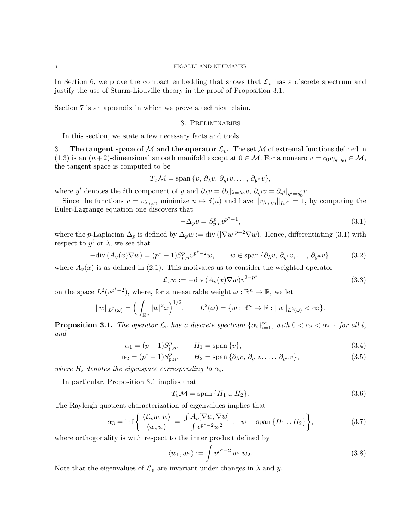In Section 6, we prove the compact embedding that shows that  $\mathcal{L}_v$  has a discrete spectrum and justify the use of Sturm-Liouville theory in the proof of Proposition 3.1.

Section 7 is an appendix in which we prove a technical claim.

### 3. Preliminaries

In this section, we state a few necessary facts and tools.

3.1. The tangent space of M and the operator  $\mathcal{L}_v$ . The set M of extremal functions defined in (1.3) is an  $(n+2)$ -dimensional smooth manifold except at  $0 \in \mathcal{M}$ . For a nonzero  $v = c_0v_{\lambda_0,y_0} \in \mathcal{M}$ , the tangent space is computed to be

$$
T_v \mathcal{M} = \text{span}\{v, \, \partial_\lambda v, \, \partial_{y^1} v, \dots, \, \partial_{y^n} v\},\
$$

where  $y^i$  denotes the *i*th component of y and  $\partial_\lambda v = \partial_\lambda |_{\lambda = \lambda_0} v, \, \partial_{y^i} v = \partial_{y^i} |_{y^i = y_0^i} v.$ 

Since the functions  $v = v_{\lambda_0, y_0}$  minimize  $u \mapsto \delta(u)$  and have  $||v_{\lambda_0, y_0}||_{L^{p^*}} = 1$ , by computing the Euler-Lagrange equation one discovers that

$$
-\Delta_p v = S_{p,n}^p v^{p^*-1},\tag{3.1}
$$

where the p-Laplacian  $\Delta_p$  is defined by  $\Delta_p w := \text{div}(|\nabla w|^{p-2} \nabla w)$ . Hence, differentiating (3.1) with respect to  $y^i$  or  $\lambda$ , we see that

$$
-\text{div}\,(A_v(x)\nabla w) = (p^*-1)S_{p,n}^p v^{p^*-2}w, \qquad w \in \text{span}\,\{\partial_\lambda v, \,\partial_{y^1}v, \dots, \,\partial_{y^n}v\},\tag{3.2}
$$

where  $A_v(x)$  is as defined in (2.1). This motivates us to consider the weighted operator

$$
\mathcal{L}_v w := -\text{div}\,(A_v(x)\nabla w)v^{2-p^*} \tag{3.3}
$$

on the space  $L^2(v^{p^*-2})$ , where, for a measurable weight  $\omega : \mathbb{R}^n \to \mathbb{R}$ , we let

$$
||w||_{L^{2}(\omega)} = \left(\int_{\mathbb{R}^{n}} |w|^{2} \omega\right)^{1/2}, \qquad L^{2}(\omega) = \{w : \mathbb{R}^{n} \to \mathbb{R} : ||w||_{L^{2}(\omega)} < \infty\}.
$$

**Proposition 3.1.** The operator  $\mathcal{L}_v$  has a discrete spectrum  $\{\alpha_i\}_{i=1}^{\infty}$ , with  $0 < \alpha_i < \alpha_{i+1}$  for all i, and

$$
\alpha_1 = (p-1)S_{p,n}^p, \qquad H_1 = \text{span}\{v\},\tag{3.4}
$$

$$
\alpha_2 = (p^* - 1)S_{p,n}^p, \qquad H_2 = \text{span}\{\partial_\lambda v, \partial_{y^1} v, \dots, \partial_{y^n} v\},\tag{3.5}
$$

where  $H_i$  denotes the eigenspace corresponding to  $\alpha_i$ .

In particular, Proposition 3.1 implies that

$$
T_v \mathcal{M} = \text{span}\{H_1 \cup H_2\}.\tag{3.6}
$$

The Rayleigh quotient characterization of eigenvalues implies that

$$
\alpha_3 = \inf \left\{ \frac{\langle \mathcal{L}_v w, w \rangle}{\langle w, w \rangle} = \frac{\int A_v [\nabla w, \nabla w]}{\int v^{p^* - 2} w^2} : w \perp \text{span} \{ H_1 \cup H_2 \} \right\},\tag{3.7}
$$

where orthogonality is with respect to the inner product defined by

$$
\langle w_1, w_2 \rangle := \int v^{p^* - 2} w_1 w_2. \tag{3.8}
$$

Note that the eigenvalues of  $\mathcal{L}_v$  are invariant under changes in  $\lambda$  and y.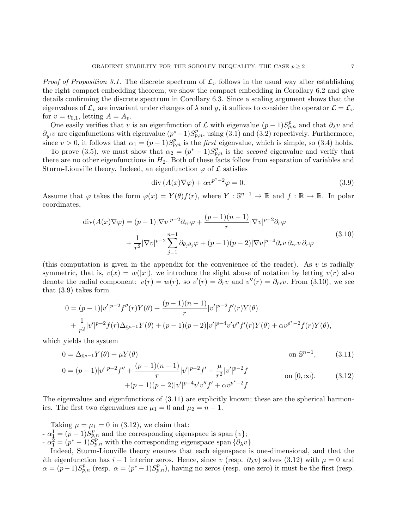*Proof of Proposition 3.1.* The discrete spectrum of  $\mathcal{L}_v$  follows in the usual way after establishing the right compact embedding theorem; we show the compact embedding in Corollary 6.2 and give details confirming the discrete spectrum in Corollary 6.3. Since a scaling argument shows that the eigenvalues of  $\mathcal{L}_v$  are invariant under changes of  $\lambda$  and y, it suffices to consider the operator  $\mathcal{L} = \mathcal{L}_v$ for  $v = v_{0,1}$ , letting  $A = A_v$ .

One easily verifies that v is an eigenfunction of  $\mathcal L$  with eigenvalue  $(p-1)S_{p,n}^p$  and that  $\partial_\lambda v$  and  $\partial_{y_i}$  are eigenfunctions with eigenvalue  $(p^*-1)S_{p,n}^p$ , using (3.1) and (3.2) repectively. Furthermore, since  $v > 0$ , it follows that  $\alpha_1 = (p-1)S_{p,n}^p$  is the *first* eigenvalue, which is simple, so (3.4) holds.

To prove (3.5), we must show that  $\alpha_2 = (p^* - 1)S_{p,n}^p$  is the second eigenvalue and verify that there are no other eigenfunctions in  $H_2$ . Both of these facts follow from separation of variables and Sturm-Liouville theory. Indeed, an eigenfunction  $\varphi$  of  $\mathcal L$  satisfies

$$
\operatorname{div}\left(A(x)\nabla\varphi\right) + \alpha v^{p^* - 2}\varphi = 0. \tag{3.9}
$$

Assume that  $\varphi$  takes the form  $\varphi(x) = Y(\theta)f(r)$ , where  $Y : \mathbb{S}^{n-1} \to \mathbb{R}$  and  $f : \mathbb{R} \to \mathbb{R}$ . In polar coordinates,

$$
\operatorname{div}(A(x)\nabla\varphi) = (p-1)|\nabla v|^{p-2}\partial_{rr}\varphi + \frac{(p-1)(n-1)}{r}|\nabla v|^{p-2}\partial_r\varphi
$$
  
+ 
$$
\frac{1}{r^2}|\nabla v|^{p-2}\sum_{j=1}^{n-1}\partial_{\theta_j\theta_j}\varphi + (p-1)(p-2)|\nabla v|^{p-4}\partial_r v \partial_{rr}v \partial_r\varphi
$$
(3.10)

(this computation is given in the appendix for the convenience of the reader). As  $v$  is radially symmetric, that is,  $v(x) = w(|x|)$ , we introduce the slight abuse of notation by letting  $v(r)$  also denote the radial component:  $v(r) = w(r)$ , so  $v'(r) = \partial_r v$  and  $v''(r) = \partial_{rr} v$ . From (3.10), we see that (3.9) takes form

$$
0 = (p-1)|v'|^{p-2}f''(r)Y(\theta) + \frac{(p-1)(n-1)}{r}|v'|^{p-2}f'(r)Y(\theta) + \frac{1}{r^2}|v'|^{p-2}f(r)\Delta_{\mathbb{S}^{n-1}}Y(\theta) + (p-1)(p-2)|v'|^{p-4}v'v''f'(r)Y(\theta) + \alpha v^{p^*-2}f(r)Y(\theta),
$$

which yields the system

$$
0 = \Delta_{\mathbb{S}^{n-1}} Y(\theta) + \mu Y(\theta) \tag{3.11}
$$

$$
0 = (p-1)|v'|^{p-2}f'' + \frac{(p-1)(n-1)}{r}|v'|^{p-2}f' - \frac{\mu}{r^2}|v'|^{p-2}f
$$
  
on  $[0, \infty)$ . (3.12)  

$$
+(p-1)(p-2)|v'|^{p-4}v'v''f' + \alpha v^{p^* - 2}f
$$

The eigenvalues and eigenfunctions of  $(3.11)$  are explicitly known; these are the spherical harmonics. The first two eigenvalues are  $\mu_1 = 0$  and  $\mu_2 = n - 1$ .

Taking  $\mu = \mu_1 = 0$  in (3.12), we claim that:  $-\alpha_{\frac{1}{2}}^1 = (p-1)S_{p,n}^p$  and the corresponding eigenspace is span  $\{v\};$  $-\alpha_1^2 = (\rho^* - 1)S_{p,n}^p$  with the corresponding eigenspace span  $\{\partial_\lambda v\}.$ 

Indeed, Sturm-Liouville theory ensures that each eigenspace is one-dimensional, and that the ith eigenfunction has  $i-1$  interior zeros. Hence, since v (resp.  $\partial_\lambda v$ ) solves (3.12) with  $\mu=0$  and  $\alpha = (p-1)S_{p,n}^p$  (resp.  $\alpha = (p^*-1)S_{p,n}^p$ ), having no zeros (resp. one zero) it must be the first (resp.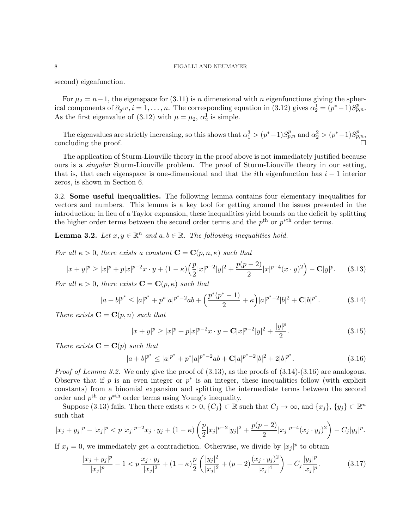second) eigenfunction.

For  $\mu_2 = n-1$ , the eigenspace for (3.11) is n dimensional with n eigenfunctions giving the spherical components of  $\partial_{y_i} v, i = 1, \ldots, n$ . The corresponding equation in (3.12) gives  $\alpha_2^1 = (p^* - 1)S_{p,n}^p$ . As the first eigenvalue of (3.12) with  $\mu = \mu_2$ ,  $\alpha_2^1$  is simple.

The eigenvalues are strictly increasing, so this shows that  $\alpha_1^3 > (p^* - 1)S_{p,n}^p$  and  $\alpha_2^2 > (p^* - 1)S_{p,n}^p$ , concluding the proof.

The application of Sturm-Liouville theory in the proof above is not immediately justified because ours is a singular Sturm-Liouville problem. The proof of Sturm-Liouville theory in our setting, that is, that each eigenspace is one-dimensional and that the *i*th eigenfunction has  $i - 1$  interior zeros, is shown in Section 6.

3.2. Some useful inequalities. The following lemma contains four elementary inequalities for vectors and numbers. This lemma is a key tool for getting around the issues presented in the introduction; in lieu of a Taylor expansion, these inequalities yield bounds on the deficit by splitting the higher order terms between the second order terms and the  $p<sup>th</sup>$  or  $p<sup>th</sup>$  order terms.

**Lemma 3.2.** Let  $x, y \in \mathbb{R}^n$  and  $a, b \in \mathbb{R}$ . The following inequalities hold.

For all  $\kappa > 0$ , there exists a constant  $\mathbf{C} = \mathbf{C}(p, n, \kappa)$  such that

$$
|x+y|^p \ge |x|^p + p|x|^{p-2}x \cdot y + (1 - \kappa)\left(\frac{p}{2}|x|^{p-2}|y|^2 + \frac{p(p-2)}{2}|x|^{p-4}(x \cdot y)^2\right) - \mathbf{C}|y|^p. \tag{3.13}
$$

For all  $\kappa > 0$ , there exists  $\mathbf{C} = \mathbf{C}(p, \kappa)$  such that

$$
|a+b|^{p^*} \le |a|^{p^*} + p^*|a|^{p^*-2}ab + \left(\frac{p^*(p^*-1)}{2} + \kappa\right)|a|^{p^*-2}|b|^2 + \mathbf{C}|b|^{p^*}.
$$
 (3.14)

There exists  $\mathbf{C} = \mathbf{C}(p, n)$  such that

$$
|x+y|^p \ge |x|^p + p|x|^{p-2}x \cdot y - \mathbf{C}|x|^{p-2}|y|^2 + \frac{|y|^p}{2}.
$$
\n(3.15)

There exists  $\mathbf{C} = \mathbf{C}(p)$  such that

$$
|a+b|^{p^*} \le |a|^{p^*} + p^*|a|^{p^*-2}ab + \mathbf{C}|a|^{p^*-2}|b|^2 + 2|b|^{p^*}.
$$
\n(3.16)

*Proof of Lemma 3.2.* We only give the proof of  $(3.13)$ , as the proofs of  $(3.14)-(3.16)$  are analogous. Observe that if p is an even integer or  $p^*$  is an integer, these inequalities follow (with explicit constants) from a binomial expansion and splitting the intermediate terms between the second order and  $p<sup>th</sup>$  or  $p<sup>th</sup>$  order terms using Young's inequality.

Suppose (3.13) fails. Then there exists  $\kappa > 0$ ,  $\{C_j\} \subset \mathbb{R}$  such that  $C_j \to \infty$ , and  $\{x_j\}$ ,  $\{y_j\} \subset \mathbb{R}^n$ such that

$$
|x_j + y_j|^p - |x_j|^p < p|x_j|^{p-2}x_j \cdot y_j + (1 - \kappa) \left( \frac{p}{2} |x_j|^{p-2} |y_j|^2 + \frac{p(p-2)}{2} |x_j|^{p-4} (x_j \cdot y_j)^2 \right) - C_j |y_j|^p.
$$

If  $x_j = 0$ , we immediately get a contradiction. Otherwise, we divide by  $|x_j|^p$  to obtain

$$
\frac{|x_j + y_j|^p}{|x_j|^p} - 1 < p \frac{x_j \cdot y_j}{|x_j|^2} + (1 - \kappa) \frac{p}{2} \left( \frac{|y_j|^2}{|x_j|^2} + (p - 2) \frac{(x_j \cdot y_j)^2}{|x_j|^4} \right) - C_j \frac{|y_j|^p}{|x_j|^p}.\tag{3.17}
$$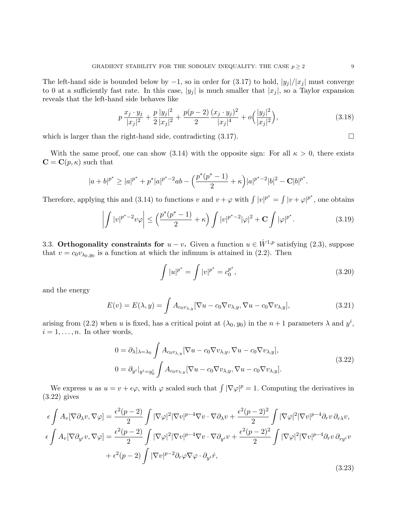The left-hand side is bounded below by  $-1$ , so in order for (3.17) to hold,  $|y_j|/|x_j|$  must converge to 0 at a sufficiently fast rate. In this case,  $|y_j|$  is much smaller that  $|x_j|$ , so a Taylor expansion reveals that the left-hand side behaves like

$$
p\frac{x_j \cdot y_j}{|x_j|^2} + \frac{p}{2} \frac{|y_j|^2}{|x_j|^2} + \frac{p(p-2)}{2} \frac{(x_j \cdot y_j)^2}{|x_j|^4} + o\left(\frac{|y_j|^2}{|x_j|^2}\right),\tag{3.18}
$$

which is larger than the right-hand side, contradicting  $(3.17)$ .

With the same proof, one can show (3.14) with the opposite sign: For all  $\kappa > 0$ , there exists  $\mathbf{C} = \mathbf{C}(p, \kappa)$  such that

$$
|a+b|^{p^*} \ge |a|^{p^*} + p^*|a|^{p^*-2}ab - \left(\frac{p^*(p^*-1)}{2} + \kappa\right)|a|^{p^*-2}|b|^2 - C|b|^{p^*}.
$$

Therefore, applying this and (3.14) to functions v and  $v + \varphi$  with  $\int |v|^{p^*} = \int |v + \varphi|^{p^*}$ , one obtains

$$
\left| \int |v|^{p^*-2} v \varphi \right| \le \left( \frac{p^*(p^*-1)}{2} + \kappa \right) \int |v|^{p^*-2} |\varphi|^2 + \mathbf{C} \int |\varphi|^{p^*} . \tag{3.19}
$$

3.3. Orthogonality constraints for  $u - v$ . Given a function  $u \in \dot{W}^{1,p}$  satisfying (2.3), suppose that  $v = c_0 v_{\lambda_0, y_0}$  is a function at which the infimum is attained in (2.2). Then

$$
\int |u|^{p^*} = \int |v|^{p^*} = c_0^{p^*},\tag{3.20}
$$

and the energy

$$
E(v) = E(\lambda, y) = \int A_{c_0 v_{\lambda, y}} [\nabla u - c_0 \nabla v_{\lambda, y}, \nabla u - c_0 \nabla v_{\lambda, y}], \qquad (3.21)
$$

arising from (2.2) when u is fixed, has a critical point at  $(\lambda_0, y_0)$  in the  $n+1$  parameters  $\lambda$  and  $y^i$ ,  $i = 1, \ldots, n$ . In other words,

$$
0 = \partial_{\lambda}|_{\lambda = \lambda_0} \int A_{c_0 v_{\lambda, y}} [\nabla u - c_0 \nabla v_{\lambda, y}, \nabla u - c_0 \nabla v_{\lambda, y}],
$$
  
\n
$$
0 = \partial_{y^i}|_{y^i = y_0^i} \int A_{c_0 v_{\lambda, y}} [\nabla u - c_0 \nabla v_{\lambda, y}, \nabla u - c_0 \nabla v_{\lambda, y}].
$$
\n(3.22)

We express u as  $u = v + \epsilon \varphi$ , with  $\varphi$  scaled such that  $\int |\nabla \varphi|^p = 1$ . Computing the derivatives in (3.22) gives

$$
\epsilon \int A_v [\nabla \partial_\lambda v, \nabla \varphi] = \frac{\epsilon^2 (p-2)}{2} \int |\nabla \varphi|^2 |\nabla v|^{p-4} \nabla v \cdot \nabla \partial_\lambda v + \frac{\epsilon^2 (p-2)^2}{2} \int |\nabla \varphi|^2 |\nabla v|^{p-4} \partial_r v \partial_r \chi v,
$$
  
\n
$$
\epsilon \int A_v [\nabla \partial_{y^i} v, \nabla \varphi] = \frac{\epsilon^2 (p-2)}{2} \int |\nabla \varphi|^2 |\nabla v|^{p-4} \nabla v \cdot \nabla \partial_{y^i} v + \frac{\epsilon^2 (p-2)^2}{2} \int |\nabla \varphi|^2 |\nabla v|^{p-4} \partial_r v \partial_{ry^i} v
$$
  
\n
$$
+ \epsilon^2 (p-2) \int |\nabla v|^{p-2} \partial_r \varphi \nabla \varphi \cdot \partial_{y^i} \hat{r},
$$
\n(3.23)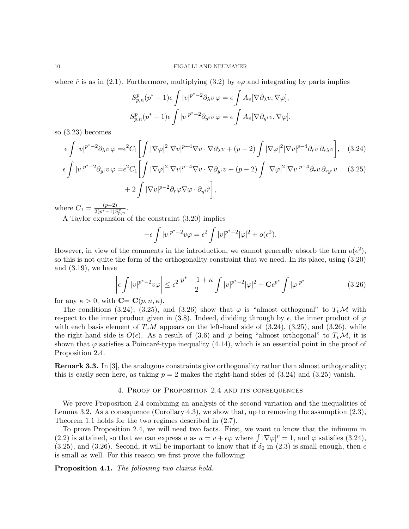where  $\hat{r}$  is as in (2.1). Furthermore, multiplying (3.2) by  $\epsilon\varphi$  and integrating by parts implies

$$
S_{p,n}^p(p^*-1)\epsilon \int |v|^{p^*-2} \partial_\lambda v \,\varphi = \epsilon \int A_v [\nabla \partial_\lambda v, \nabla \varphi],
$$
  

$$
S_{p,n}^p(p^*-1)\epsilon \int |v|^{p^*-2} \partial_{y^i} v \,\varphi = \epsilon \int A_v [\nabla \partial_{y^i} v, \nabla \varphi],
$$

so (3.23) becomes

 $\epsilon$ 

$$
\epsilon \int |v|^{p^*-2} \partial_\lambda v \, \varphi = \epsilon^2 C_1 \left[ \int |\nabla \varphi|^2 |\nabla v|^{p-4} \nabla v \cdot \nabla \partial_\lambda v + (p-2) \int |\nabla \varphi|^2 |\nabla v|^{p-4} \partial_r v \, \partial_r \chi v \right], \quad (3.24)
$$

$$
\int |v|^{p^*-2} \partial_{y^i} v \varphi = \epsilon^2 C_1 \left[ \int |\nabla \varphi|^2 |\nabla v|^{p-4} \nabla v \cdot \nabla \partial_{y^i} v + (p-2) \int |\nabla \varphi|^2 |\nabla v|^{p-4} \partial_r v \, \partial_{ry^i} v \right. \tag{3.25}
$$

$$
+ 2 \int |\nabla v|^{p-2} \partial_r \varphi \nabla \varphi \cdot \partial_{y^i} \hat{r} \Bigg],
$$

where  $C_1 = \frac{(p-2)}{2(p^*-1)S}$  $rac{(p-2)}{2(p^*-1)S_{p,n}^p}$ .

A Taylor expansion of the constraint (3.20) implies

$$
-\epsilon \int |v|^{p^*-2} v\varphi = \epsilon^2 \int |v|^{p^*-2} |\varphi|^2 + o(\epsilon^2).
$$

However, in view of the comments in the introduction, we cannot generally absorb the term  $o(\epsilon^2)$ , so this is not quite the form of the orthogonality constraint that we need. In its place, using (3.20) and  $(3.19)$ , we have

$$
\left| \epsilon \int |v|^{p^*-2} v \varphi \right| \le \epsilon^2 \frac{p^*-1+\kappa}{2} \int |v|^{p^*-2} |\varphi|^2 + \mathbf{C} \epsilon^{p^*} \int |\varphi|^{p^*} \tag{3.26}
$$

for any  $\kappa > 0$ , with  $\mathbf{C} = \mathbf{C}(p, n, \kappa)$ .

The conditions (3.24), (3.25), and (3.26) show that  $\varphi$  is "almost orthogonal" to  $T_v\mathcal{M}$  with respect to the inner product given in (3.8). Indeed, dividing through by  $\epsilon$ , the inner product of  $\varphi$ with each basis element of  $T_vM$  appears on the left-hand side of (3.24), (3.25), and (3.26), while the right-hand side is  $O(\epsilon)$ . As a result of (3.6) and  $\varphi$  being "almost orthogonal" to  $T_v\mathcal{M}$ , it is shown that  $\varphi$  satisfies a Poincaré-type inequality (4.14), which is an essential point in the proof of Proposition 2.4.

**Remark 3.3.** In [3], the analogous constraints give orthogonality rather than almost orthogonality; this is easily seen here, as taking  $p = 2$  makes the right-hand sides of  $(3.24)$  and  $(3.25)$  vanish.

## 4. Proof of Proposition 2.4 and its consequences

We prove Proposition 2.4 combining an analysis of the second variation and the inequalities of Lemma 3.2. As a consequence (Corollary 4.3), we show that, up to removing the assumption  $(2.3)$ , Theorem 1.1 holds for the two regimes described in (2.7).

To prove Proposition 2.4, we will need two facts. First, we want to know that the infimum in (2.2) is attained, so that we can express u as  $u = v + \epsilon \varphi$  where  $\int |\nabla \varphi|^p = 1$ , and  $\varphi$  satisfies (3.24), (3.25), and (3.26). Second, it will be important to know that if  $\delta_0$  in (2.3) is small enough, then  $\epsilon$ is small as well. For this reason we first prove the following:

Proposition 4.1. The following two claims hold.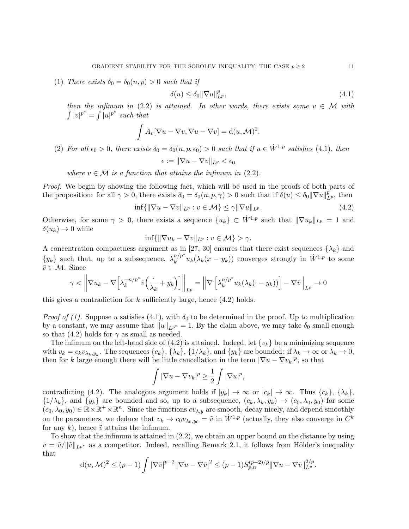(1) There exists  $\delta_0 = \delta_0(n, p) > 0$  such that if

$$
\delta(u) \le \delta_0 \|\nabla u\|_{L^p}^p,\tag{4.1}
$$

then the infimum in (2.2) is attained. In other words, there exists some  $v \in \mathcal{M}$  with  $\int |v|^{p^*} = \int |u|^{p^*}$  such that

$$
\int A_v [\nabla u - \nabla v, \nabla u - \nabla v] = d(u, \mathcal{M})^2.
$$

(2) For all  $\epsilon_0 > 0$ , there exists  $\delta_0 = \delta_0(n, p, \epsilon_0) > 0$  such that if  $u \in \dot{W}^{1,p}$  satisfies (4.1), then

 $\epsilon := \|\nabla u - \nabla v\|_{L^p} < \epsilon_0$ 

where  $v \in \mathcal{M}$  is a function that attains the infimum in (2.2).

Proof. We begin by showing the following fact, which will be used in the proofs of both parts of the proposition: for all  $\gamma > 0$ , there exists  $\delta_0 = \delta_0(n, p, \gamma) > 0$  such that if  $\delta(u) \leq \delta_0 ||\nabla u||_{L^p}^p$ , then

$$
\inf\{\|\nabla u - \nabla v\|_{L^p} : v \in \mathcal{M}\} \le \gamma \|\nabla u\|_{L^p}.\tag{4.2}
$$

Otherwise, for some  $\gamma > 0$ , there exists a sequence  $\{u_k\} \subset \dot{W}^{1,p}$  such that  $\|\nabla u_k\|_{L^p} = 1$  and  $\delta(u_k) \rightarrow 0$  while

$$
\inf\{\|\nabla u_k - \nabla v\|_{L^p} : v \in \mathcal{M}\} > \gamma.
$$

A concentration compactness argument as in [27, 30] ensures that there exist sequences  $\{\lambda_k\}$  and  $\{y_k\}$  such that, up to a subsequence,  $\lambda_k^{n/p^*}$  $\int_k^{n/p^*} u_k(\lambda_k(x - y_k))$  converges strongly in  $\dot{W}^{1,p}$  to some  $\bar{v} \in \mathcal{M}$ . Since

$$
\gamma < \left\| \nabla u_k - \nabla \left[ \lambda_k^{-n/p^*} \bar{v} \left( \frac{\cdot}{\lambda_k} + y_k \right) \right] \right\|_{L^p} = \left\| \nabla \left[ \lambda_k^{n/p^*} u_k (\lambda_k (\cdot - y_k)) \right] - \nabla \bar{v} \right\|_{L^p} \to 0
$$

this gives a contradiction for k sufficiently large, hence  $(4.2)$  holds.

*Proof of (1).* Suppose u satisfies (4.1), with  $\delta_0$  to be determined in the proof. Up to multiplication by a constant, we may assume that  $||u||_{L^{p^*}} = 1$ . By the claim above, we may take  $\delta_0$  small enough so that (4.2) holds for  $\gamma$  as small as needed.

The infimum on the left-hand side of  $(4.2)$  is attained. Indeed, let  $\{v_k\}$  be a minimizing sequence with  $v_k = c_k v_{\lambda_k, y_k}$ . The sequences  $\{c_k\}$ ,  $\{\lambda_k\}$ ,  $\{1/\lambda_k\}$ , and  $\{y_k\}$  are bounded: if  $\lambda_k \to \infty$  or  $\lambda_k \to 0$ , then for k large enough there will be little cancellation in the term  $|\nabla u - \nabla v_k|^p$ , so that

$$
\int |\nabla u - \nabla v_k|^p \ge \frac{1}{2} \int |\nabla u|^p,
$$

contradicting (4.2). The analogous argument holds if  $|y_k| \to \infty$  or  $|c_k| \to \infty$ . Thus  $\{c_k\}$ ,  $\{\lambda_k\}$ ,  $\{1/\lambda_k\}$ , and  $\{y_k\}$  are bounded and so, up to a subsequence,  $(c_k, \lambda_k, y_k) \rightarrow (c_0, \lambda_0, y_0)$  for some  $(c_0, \lambda_0, y_0) \in \mathbb{R} \times \mathbb{R}^+ \times \mathbb{R}^n$ . Since the functions  $cv_{\lambda,y}$  are smooth, decay nicely, and depend smoothly on the parameters, we deduce that  $v_k \to c_0 v_{\lambda_0,y_0} = \tilde{v}$  in  $\dot{W}^{1,p}$  (actually, they also converge in  $C^k$ for any k), hence  $\tilde{v}$  attains the infimum.

To show that the infimum is attained in (2.2), we obtain an upper bound on the distance by using  $\bar{v} = \tilde{v}/\|\tilde{v}\|_{L^{p^*}}$  as a competitor. Indeed, recalling Remark 2.1, it follows from Hölder's inequality that

$$
d(u, \mathcal{M})^2 \le (p-1) \int |\nabla \bar{v}|^{p-2} |\nabla u - \nabla \bar{v}|^2 \le (p-1) S_{p,n}^{(p-2)/p} \|\nabla u - \nabla \bar{v}\|_{L^p}^{2/p}.
$$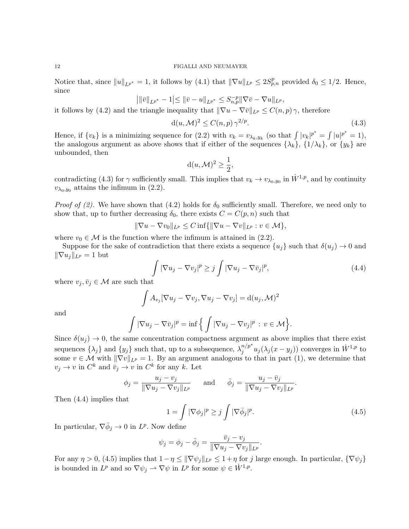Notice that, since  $||u||_{L^{p^*}} = 1$ , it follows by (4.1) that  $||\nabla u||_{L^p} \le 2S_{p,n}^p$  provided  $\delta_0 \le 1/2$ . Hence, since

$$
\big| \|\bar v\|_{L^{p^*}}-1\big|\leq \|\bar v-u\|_{L^{p^*}}\leq S^{-p}_{n,p} \|\nabla \bar v-\nabla u\|_{L^p},
$$

it follows by (4.2) and the triangle inequality that  $\|\nabla u - \nabla \overline{v}\|_{L^p} \leq C(n, p) \gamma$ , therefore

$$
d(u, \mathcal{M})^2 \le C(n, p) \gamma^{2/p}.
$$
\n(4.3)

Hence, if  $\{v_k\}$  is a minimizing sequence for (2.2) with  $v_k = v_{\lambda_k, y_k}$  (so that  $\int |v_k|^{p^*} = \int |u|^{p^*} = 1$ ), the analogous argument as above shows that if either of the sequences  $\{\lambda_k\}$ ,  $\{1/\lambda_k\}$ , or  $\{y_k\}$  are unbounded, then

$$
d(u, \mathcal{M})^2 \ge \frac{1}{2},
$$

contradicting (4.3) for  $\gamma$  sufficiently small. This implies that  $v_k \to v_{\lambda_0,y_0}$  in  $\dot{W}^{1,p}$ , and by continuity  $v_{\lambda_0,y_0}$  attains the infimum in (2.2).

*Proof of (2).* We have shown that (4.2) holds for  $\delta_0$  sufficiently small. Therefore, we need only to show that, up to further decreasing  $\delta_0$ , there exists  $C = C(p, n)$  such that

$$
\|\nabla u - \nabla v_0\|_{L^p} \le C \inf \{ \|\nabla u - \nabla v\|_{L^p} : v \in \mathcal{M} \},\
$$

where  $v_0 \in \mathcal{M}$  is the function where the infimum is attained in (2.2).

Suppose for the sake of contradiction that there exists a sequence  $\{u_i\}$  such that  $\delta(u_i) \to 0$  and  $\|\nabla u_i\|_{L^p} = 1$  but

$$
\int |\nabla u_j - \nabla v_j|^p \ge j \int |\nabla u_j - \nabla \bar{v}_j|^p,\tag{4.4}
$$

where  $v_j, \bar{v}_j \in \mathcal{M}$  are such that

$$
\int A_{v_j} [\nabla u_j - \nabla v_j, \nabla u_j - \nabla v_j] = d(u_j, \mathcal{M})^2
$$

and

$$
\int |\nabla u_j - \nabla \bar{v}_j|^p = \inf \Big\{ \int |\nabla u_j - \nabla v_j|^p \, : \, v \in \mathcal{M} \Big\}.
$$

Since  $\delta(u_i) \to 0$ , the same concentration compactness argument as above implies that there exist sequences  $\{\lambda_j\}$  and  $\{y_j\}$  such that, up to a subsequence,  $\lambda_j^{n/p^*}$  $j^{n/p^*} u_j(\lambda_j(x-y_j))$  converges in  $\dot{W}^{1,p}$  to some  $v \in \mathcal{M}$  with  $\|\nabla v\|_{L^p} = 1$ . By an argument analogous to that in part (1), we determine that  $v_j \to v$  in  $C^k$  and  $\bar{v}_j \to v$  in  $C^k$  for any k. Let

$$
\phi_j = \frac{u_j - v_j}{\|\nabla u_j - \nabla v_j\|_{L^p}} \quad \text{and} \quad \bar{\phi}_j = \frac{u_j - \bar{v}_j}{\|\nabla u_j - \nabla v_j\|_{L^p}}.
$$

Then (4.4) implies that

$$
1 = \int |\nabla \phi_j|^p \ge j \int |\nabla \bar{\phi}_j|^p. \tag{4.5}
$$

In particular,  $\nabla \bar{\phi}_j \to 0$  in  $L^p$ . Now define

$$
\psi_j = \phi_j - \bar{\phi}_j = \frac{\bar{v}_j - v_j}{\|\nabla u_j - \nabla v_j\|_{L^p}}.
$$

For any  $\eta > 0$ , (4.5) implies that  $1-\eta \leq ||\nabla \psi_j||_{L^p} \leq 1+\eta$  for j large enough. In particular,  $\{\nabla \psi_j\}$ is bounded in  $L^p$  and so  $\nabla \psi_j \rightharpoonup \nabla \psi$  in  $L^p$  for some  $\psi \in \dot{W}^{1,p}$ .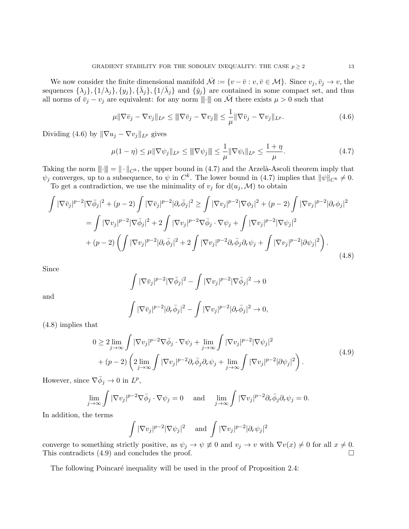We now consider the finite dimensional manifold  $\overline{\mathcal{M}} := \{v - \overline{v} : v, \overline{v} \in \mathcal{M}\}\.$  Since  $v_j, \overline{v}_j \to v$ , the sequences  $\{\lambda_j\}, \{1/\lambda_j\}, \{y_j\}, \{\bar{\lambda}_j\}, \{1/\bar{\lambda}_j\}$  and  $\{\bar{y}_j\}$  are contained in some compact set, and thus all norms of  $v_j - v_j$  are equivalent: for any norm  $\|\cdot\|$  on  $\bar{\mathcal{M}}$  there exists  $\mu > 0$  such that

$$
\mu \|\nabla \bar{v}_j - \nabla v_j\|_{L^p} \le \|\nabla \bar{v}_j - \nabla v_j\| \le \frac{1}{\mu} \|\nabla \bar{v}_j - \nabla v_j\|_{L^p}.
$$
\n(4.6)

Dividing (4.6) by  $\|\nabla u_j - \nabla v_j\|_{L^p}$  gives

$$
\mu(1 - \eta) \le \mu \|\nabla \psi_j\|_{L^p} \le \|\nabla \psi_j\| \le \frac{1}{\mu} \|\nabla \psi_i\|_{L^p} \le \frac{1 + \eta}{\mu}.
$$
\n(4.7)

Taking the norm  $\|\cdot\| = \|\cdot\|_{C^k}$ , the upper bound in (4.7) and the Arzelà-Ascoli theorem imply that  $\psi_j$  converges, up to a subsequence, to  $\psi$  in  $C^k$ . The lower bound in (4.7) implies that  $\|\psi\|_{C^k} \neq 0$ .

To get a contradiction, we use the minimality of  $v_j$  for  $d(u_j, \mathcal{M})$  to obtain

$$
\int |\nabla \bar{v}_j|^{p-2} |\nabla \bar{\phi}_j|^2 + (p-2) \int |\nabla \bar{v}_j|^{p-2} |\partial_r \bar{\phi}_j|^2 \ge \int |\nabla v_j|^{p-2} |\nabla \phi_j|^2 + (p-2) \int |\nabla v_j|^{p-2} |\partial_r \phi_j|^2
$$
  
\n
$$
= \int |\nabla v_j|^{p-2} |\nabla \bar{\phi}_j|^2 + 2 \int |\nabla v_j|^{p-2} \nabla \bar{\phi}_j \cdot \nabla \psi_j + \int |\nabla v_j|^{p-2} |\nabla \psi_j|^2
$$
  
\n
$$
+ (p-2) \left( \int |\nabla v_j|^{p-2} |\partial_r \bar{\phi}_j|^2 + 2 \int |\nabla v_j|^{p-2} \partial_r \bar{\phi}_j \partial_r \psi_j + \int |\nabla v_j|^{p-2} |\partial \psi_j|^2 \right).
$$
\n(4.8)

Since

$$
\int |\nabla \bar{v}_j|^{p-2} |\nabla \bar{\phi}_j|^2 - \int |\nabla v_j|^{p-2} |\nabla \bar{\phi}_j|^2 \to 0
$$

and

$$
\int |\nabla \bar{v}_j|^{p-2} |\partial_r \bar{\phi}_j|^2 - \int |\nabla v_j|^{p-2} |\partial_r \bar{\phi}_j|^2 \to 0,
$$

(4.8) implies that

$$
0 \ge 2 \lim_{j \to \infty} \int |\nabla v_j|^{p-2} \nabla \bar{\phi}_j \cdot \nabla \psi_j + \lim_{j \to \infty} \int |\nabla v_j|^{p-2} |\nabla \psi_j|^2 + (p-2) \left( 2 \lim_{j \to \infty} \int |\nabla v_j|^{p-2} \partial_r \bar{\phi}_j \partial_r \psi_j + \lim_{j \to \infty} \int |\nabla v_j|^{p-2} |\partial \psi_j|^2 \right).
$$
(4.9)

However, since  $\nabla \bar{\phi}_j \to 0$  in  $L^p$ ,

$$
\lim_{j \to \infty} \int |\nabla v_j|^{p-2} \nabla \bar{\phi}_j \cdot \nabla \psi_j = 0 \quad \text{and} \quad \lim_{j \to \infty} \int |\nabla v_j|^{p-2} \partial_r \bar{\phi}_j \partial_r \psi_j = 0.
$$

In addition, the terms

$$
\int |\nabla v_j|^{p-2} |\nabla \psi_j|^2 \quad \text{and} \quad \int |\nabla v_j|^{p-2} |\partial_r \psi_j|^2
$$

converge to something strictly positive, as  $\psi_j \to \psi \neq 0$  and  $v_j \to v$  with  $\nabla v(x) \neq 0$  for all  $x \neq 0$ . This contradicts  $(4.9)$  and concludes the proof.

The following Poincaré inequality will be used in the proof of Proposition 2.4: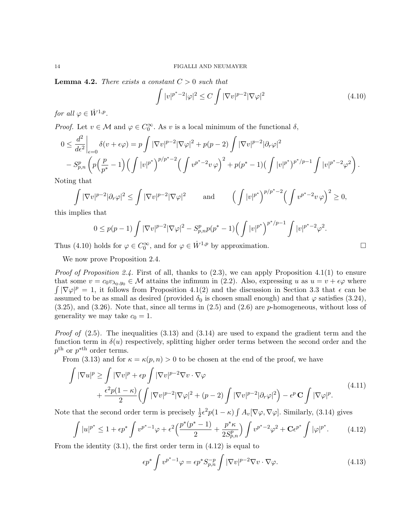**Lemma 4.2.** There exists a constant  $C > 0$  such that

 $\int |v|^{p^*-2} |\varphi|^2 \leq C \int |\nabla v|^{p-2} |\nabla \varphi|^2$ (4.10)

for all  $\varphi \in \dot{W}^{1,p}$ .

*Proof.* Let  $v \in \mathcal{M}$  and  $\varphi \in C_0^{\infty}$ . As v is a local minimum of the functional  $\delta$ ,

$$
0 \leq \frac{d^2}{d\epsilon^2} \bigg|_{\epsilon=0} \delta(v+\epsilon\varphi) = p \int |\nabla v|^{p-2} |\nabla \varphi|^2 + p(p-2) \int |\nabla v|^{p-2} |\partial_r \varphi|^2
$$
  
- 
$$
S_{p,n}^p \left( p \left( \frac{p}{p^*} - 1 \right) \left( \int |v|^{p^*} \right)^{p/p^*-2} \left( \int v^{p^*-2} v \varphi \right)^2 + p(p^*-1) \left( \int |v|^{p^*} \right)^{p^*/p-1} \int |v|^{p^*-2} \varphi^2 \right).
$$

Noting that

$$
\int |\nabla v|^{p-2} |\partial_r \varphi|^2 \le \int |\nabla v|^{p-2} |\nabla \varphi|^2 \quad \text{and} \quad \left( \int |v|^{p^*} \right)^{p/p^*-2} \left( \int v^{p^*-2} v \varphi \right)^2 \ge 0,
$$

this implies that

$$
0 \le p(p-1) \int |\nabla v|^{p-2} |\nabla \varphi|^2 - S_{p,n}^p p(p^* - 1) \Big( \int |v|^{p^*} \Big)^{p^*/p-1} \int |v|^{p^*-2} \varphi^2.
$$

Thus (4.10) holds for  $\varphi \in C_0^{\infty}$ , and for  $\varphi \in \dot{W}^{1,p}$  by approximation.

We now prove Proposition 2.4.

*Proof of Proposition 2.4.* First of all, thanks to  $(2.3)$ , we can apply Proposition 4.1(1) to ensure that some  $v = c_0v_{\lambda_0,y_0} \in \mathcal{M}$  attains the infimum in (2.2). Also, expressing u as  $u = v + \epsilon\varphi$  where  $\int |\nabla \varphi|^p = 1$ , it follows from Proposition 4.1(2) and the discussion in Section 3.3 that  $\epsilon$  can be assumed to be as small as desired (provided  $\delta_0$  is chosen small enough) and that  $\varphi$  satisfies (3.24), (3.25), and (3.26). Note that, since all terms in (2.5) and (2.6) are p-homogeneous, without loss of generality we may take  $c_0 = 1$ .

*Proof of*  $(2.5)$ . The inequalities  $(3.13)$  and  $(3.14)$  are used to expand the gradient term and the function term in  $\delta(u)$  respectively, splitting higher order terms between the second order and the  $p^{\text{th}}$  or  $p^{\text{th}}$  order terms.

From (3.13) and for  $\kappa = \kappa(p, n) > 0$  to be chosen at the end of the proof, we have

$$
\int |\nabla u|^p \ge \int |\nabla v|^p + \epsilon p \int |\nabla v|^{p-2} \nabla v \cdot \nabla \varphi \n+ \frac{\epsilon^2 p (1 - \kappa)}{2} \Big( \int |\nabla v|^{p-2} |\nabla \varphi|^2 + (p - 2) \int |\nabla v|^{p-2} |\partial_r \varphi|^2 \Big) - \epsilon^p \mathbf{C} \int |\nabla \varphi|^p.
$$
\n(4.11)

Note that the second order term is precisely  $\frac{1}{2}\epsilon^2 p(1-\kappa) \int A_v[\nabla \varphi, \nabla \varphi]$ . Similarly, (3.14) gives

$$
\int |u|^{p^*} \le 1 + \epsilon p^* \int v^{p^*-1} \varphi + \epsilon^2 \Big( \frac{p^*(p^*-1)}{2} + \frac{p^*\kappa}{2S_{p,n}^p} \Big) \int v^{p^*-2} \varphi^2 + \mathbf{C} \epsilon^{p^*} \int |\varphi|^{p^*}.
$$
 (4.12)

From the identity  $(3.1)$ , the first order term in  $(4.12)$  is equal to

$$
\epsilon p^* \int v^{p^*-1} \varphi = \epsilon p^* S_{p,n}^{-p} \int |\nabla v|^{p-2} \nabla v \cdot \nabla \varphi. \tag{4.13}
$$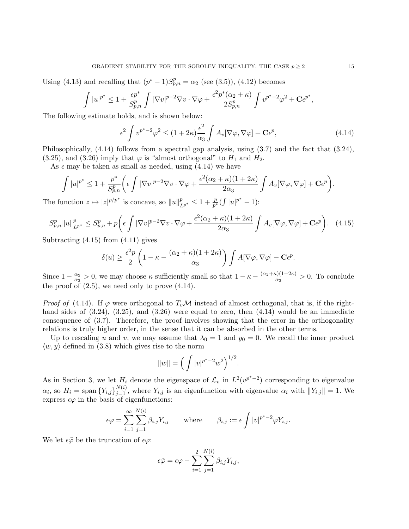Using (4.13) and recalling that  $(p^* - 1)S_{p,n}^p = \alpha_2$  (see (3.5)), (4.12) becomes

$$
\int |u|^{p^*} \leq 1 + \frac{\epsilon p^*}{S_{p,n}^p} \int |\nabla v|^{p-2} \nabla v \cdot \nabla \varphi + \frac{\epsilon^2 p^*(\alpha_2 + \kappa)}{2S_{p,n}^p} \int v^{p^*-2} \varphi^2 + \mathbf{C} \epsilon^{p^*},
$$

The following estimate holds, and is shown below:

$$
\epsilon^2 \int v^{p^*-2} \varphi^2 \le (1+2\kappa) \frac{\epsilon^2}{\alpha_3} \int A_v [\nabla \varphi, \nabla \varphi] + \mathbf{C} \epsilon^p,
$$
\n(4.14)

Philosophically, (4.14) follows from a spectral gap analysis, using (3.7) and the fact that (3.24), (3.25), and (3.26) imply that  $\varphi$  is "almost orthogonal" to  $H_1$  and  $H_2$ .

As  $\epsilon$  may be taken as small as needed, using (4.14) we have

$$
\int |u|^{p^*} \leq 1 + \frac{p^*}{S_{p,n}^p} \bigg( \epsilon \int |\nabla v|^{p-2} \nabla v \cdot \nabla \varphi + \frac{\epsilon^2 (\alpha_2 + \kappa)(1 + 2\kappa)}{2\alpha_3} \int A_v [\nabla \varphi, \nabla \varphi] + \mathbf{C} \epsilon^p \bigg).
$$

The function  $z \mapsto |z|^{p/p^*}$  is concave, so  $||u||_{L^{p^*}}^p \leq 1 + \frac{p}{p^*} (\int |u|^{p^*} - 1)$ :

$$
S_{p,n}^p \|u\|_{L^{p^*}}^p \le S_{p,n}^p + p \left(\epsilon \int |\nabla v|^{p-2} \nabla v \cdot \nabla \varphi + \frac{\epsilon^2 (\alpha_2 + \kappa)(1+2\kappa)}{2\alpha_3} \int A_v [\nabla \varphi, \nabla \varphi] + \mathbf{C} \epsilon^p \right). \tag{4.15}
$$

Subtracting  $(4.15)$  from  $(4.11)$  gives

$$
\delta(u) \ge \frac{\epsilon^2 p}{2} \left( 1 - \kappa - \frac{(\alpha_2 + \kappa)(1 + 2\kappa)}{\alpha_3} \right) \int A[\nabla \varphi, \nabla \varphi] - \mathbf{C} \epsilon^p.
$$

Since  $1 - \frac{\alpha_2}{\alpha_2}$  $\frac{\alpha_2}{\alpha_3} > 0$ , we may choose  $\kappa$  sufficiently small so that  $1 - \kappa - \frac{(\alpha_2 + \kappa)(1 + 2\kappa)}{\alpha_3}$  $\frac{\alpha_3^{(1+2\kappa)}}{\alpha_3} > 0$ . To conclude the proof of  $(2.5)$ , we need only to prove  $(4.14)$ .

*Proof of* (4.14). If  $\varphi$  were orthogonal to  $T_v\mathcal{M}$  instead of almost orthogonal, that is, if the righthand sides of  $(3.24)$ ,  $(3.25)$ , and  $(3.26)$  were equal to zero, then  $(4.14)$  would be an immediate consequence of (3.7). Therefore, the proof involves showing that the error in the orthogonality relations is truly higher order, in the sense that it can be absorbed in the other terms.

Up to rescaling u and v, we may assume that  $\lambda_0 = 1$  and  $y_0 = 0$ . We recall the inner product  $\langle w, y \rangle$  defined in (3.8) which gives rise to the norm

$$
||w|| = \left(\int |v|^{p^* - 2} w^2\right)^{1/2}.
$$

As in Section 3, we let  $H_i$  denote the eigenspace of  $\mathcal{L}_v$  in  $L^2(v^{p^*-2})$  corresponding to eigenvalue  $\alpha_i$ , so  $H_i = \text{span}\{Y_{i,j}\}_{j=1}^{N(i)}$ , where  $Y_{i,j}$  is an eigenfunction with eigenvalue  $\alpha_i$  with  $||Y_{i,j}|| = 1$ . We express  $\epsilon\varphi$  in the basis of eigenfunctions:

$$
\epsilon \varphi = \sum_{i=1}^{\infty} \sum_{j=1}^{N(i)} \beta_{i,j} Y_{i,j} \quad \text{where} \quad \beta_{i,j} := \epsilon \int |v|^{p^*-2} \varphi Y_{i,j}.
$$

We let  $\epsilon\tilde{\varphi}$  be the truncation of  $\epsilon\varphi$ :

$$
\epsilon \tilde{\varphi} = \epsilon \varphi - \sum_{i=1}^{2} \sum_{j=1}^{N(i)} \beta_{i,j} Y_{i,j},
$$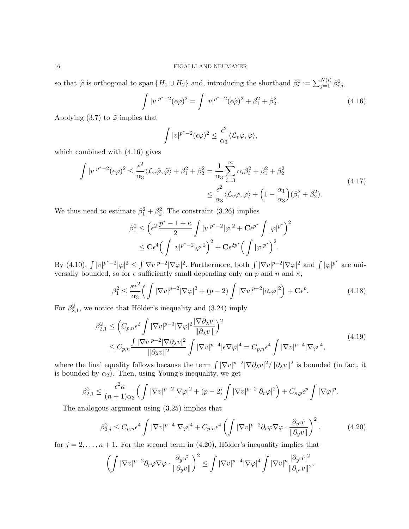so that  $\tilde{\varphi}$  is orthogonal to span  $\{H_1 \cup H_2\}$  and, introducing the shorthand  $\beta_i^2 := \sum_{j=1}^{N(i)} \beta_{i,j}^2$ ,

$$
\int |v|^{p^*-2} (\epsilon \varphi)^2 = \int |v|^{p^*-2} (\epsilon \tilde{\varphi})^2 + \beta_1^2 + \beta_2^2.
$$
\n(4.16)

Applying (3.7) to  $\tilde{\varphi}$  implies that

$$
\int |v|^{p^*-2} (\epsilon \tilde{\varphi})^2 \leq \frac{\epsilon^2}{\alpha_3} \langle \mathcal{L}_v \tilde{\varphi}, \tilde{\varphi} \rangle,
$$

which combined with (4.16) gives

$$
\int |v|^{p^*-2} (\epsilon \varphi)^2 \le \frac{\epsilon^2}{\alpha_3} \langle \mathcal{L}_v \tilde{\varphi}, \tilde{\varphi} \rangle + \beta_1^2 + \beta_2^2 = \frac{1}{\alpha_3} \sum_{i=3}^{\infty} \alpha_i \beta_i^2 + \beta_1^2 + \beta_2^2
$$
\n
$$
\le \frac{\epsilon^2}{\alpha_3} \langle \mathcal{L}_v \varphi, \varphi \rangle + \left(1 - \frac{\alpha_1}{\alpha_3}\right) (\beta_1^2 + \beta_2^2).
$$
\n(4.17)

We thus need to estimate  $\beta_1^2 + \beta_2^2$ . The constraint (3.26) implies

$$
\beta_1^2 \le \left(\epsilon^2 \frac{p^*-1+\kappa}{2} \int |v|^{p^*-2} |\varphi|^2 + \mathbf{C} \epsilon^{p^*} \int |\varphi|^{p^*}\right)^2
$$
  

$$
\le \mathbf{C} \epsilon^4 \Big(\int |v|^{p^*-2} |\varphi|^2\Big)^2 + \mathbf{C} \epsilon^{2p^*} \Big(\int |\varphi|^{p^*}\Big)^2.
$$

By (4.10),  $\int |v|^{p^*-2} |\varphi|^2 \leq \int \nabla v|^{p-2} |\nabla \varphi|^2$ . Furthermore, both  $\int |\nabla v|^{p-2} |\nabla \varphi|^2$  and  $\int |\varphi|^{p^*}$  are universally bounded, so for  $\epsilon$  sufficiently small depending only on p and n and  $\kappa$ ,

$$
\beta_1^2 \le \frac{\kappa \epsilon^2}{\alpha_3} \Big( \int |\nabla v|^{p-2} |\nabla \varphi|^2 + (p-2) \int |\nabla v|^{p-2} |\partial_r \varphi|^2 \Big) + \mathbf{C} \epsilon^p. \tag{4.18}
$$

For  $\beta_{2,1}^2$ , we notice that Hölder's inequality and (3.24) imply

$$
\beta_{2,1}^2 \leq \left( C_{p,n} \epsilon^2 \int |\nabla v|^{p-3} |\nabla \varphi|^2 \frac{|\nabla \partial_\lambda v|}{\|\partial_\lambda v\|}\right)^2
$$
\n
$$
\leq C_{p,n} \frac{\int |\nabla v|^{p-2} |\nabla \partial_\lambda v|^2}{\|\partial_\lambda v\|^2} \int |\nabla v|^{p-4} |\epsilon \nabla \varphi|^4 = C_{p,n} \epsilon^4 \int |\nabla v|^{p-4} |\nabla \varphi|^4,
$$
\n(4.19)

where the final equality follows because the term  $\int |\nabla v|^{p-2} |\nabla \partial_\lambda v|^2 / ||\partial_\lambda v||^2$  is bounded (in fact, it is bounded by  $\alpha_2$ ). Then, using Young's inequality, we get

$$
\beta_{2,1}^2 \leq \frac{\epsilon^2 \kappa}{(n+1)\alpha_3} \Big( \int |\nabla v|^{p-2} |\nabla \varphi|^2 + (p-2) \int |\nabla v|^{p-2} |\partial_r \varphi|^2 \Big) + C_{\kappa,p} \epsilon^p \int |\nabla \varphi|^p.
$$

The analogous argument using (3.25) implies that

$$
\beta_{2,j}^2 \le C_{p,n} \epsilon^4 \int |\nabla v|^{p-4} |\nabla \varphi|^4 + C_{p,n} \epsilon^4 \left( \int |\nabla v|^{p-2} \partial_r \varphi \nabla \varphi \cdot \frac{\partial_{y^i} \hat{r}}{\|\partial_y v\|} \right)^2. \tag{4.20}
$$

.

for  $j = 2, \ldots, n + 1$ . For the second term in (4.20), Hölder's inequality implies that

$$
\left(\int |\nabla v|^{p-2} \partial_r \varphi \nabla \varphi \cdot \frac{\partial_{y^i} \hat{r}}{\|\partial_y v\|}\right)^2 \leq \int |\nabla v|^{p-4} |\nabla \varphi|^4 \int |\nabla v|^p \frac{|\partial_{y^i} \hat{r}|^2}{\|\partial_{y^i} v\|^2}
$$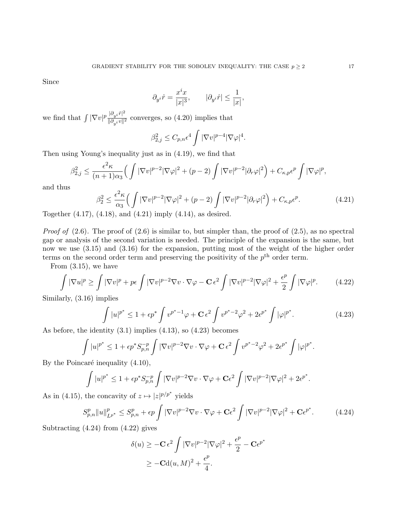Since

$$
\partial_{y^i}\hat r=\frac{x^ix}{|x|^3},\qquad |\partial_{y^i}\hat r|\le\frac{1}{|x|},
$$

we find that  $\int |\nabla v|^p \frac{|\partial_{y_i} \hat{r}|^2}{\partial |x_i-y|^{2}}$  $\frac{\partial^2 y^{i+1}}{\partial \theta y^{i}}$  converges, so (4.20) implies that

$$
\beta_{2,j}^2 \le C_{p,n} \epsilon^4 \int |\nabla v|^{p-4} |\nabla \varphi|^4.
$$

Then using Young's inequality just as in (4.19), we find that

$$
\beta_{2,j}^2 \le \frac{\epsilon^2 \kappa}{(n+1)\alpha_3} \Big( \int |\nabla v|^{p-2} |\nabla \varphi|^2 + (p-2) \int |\nabla v|^{p-2} |\partial_r \varphi|^2 \Big) + C_{\kappa,p} \epsilon^p \int |\nabla \varphi|^p,
$$

and thus

$$
\beta_2^2 \le \frac{\epsilon^2 \kappa}{\alpha_3} \Big( \int |\nabla v|^{p-2} |\nabla \varphi|^2 + (p-2) \int |\nabla v|^{p-2} |\partial_r \varphi|^2 \Big) + C_{\kappa, p} \epsilon^p. \tag{4.21}
$$

Together (4.17), (4.18), and (4.21) imply (4.14), as desired.

*Proof of*  $(2.6)$ . The proof of  $(2.6)$  is similar to, but simpler than, the proof of  $(2.5)$ , as no spectral gap or analysis of the second variation is needed. The principle of the expansion is the same, but now we use (3.15) and (3.16) for the expansion, putting most of the weight of the higher order terms on the second order term and preserving the positivity of the  $p<sup>th</sup>$  order term.

From (3.15), we have

$$
\int |\nabla u|^p \ge \int |\nabla v|^p + p\epsilon \int |\nabla v|^{p-2} \nabla v \cdot \nabla \varphi - \mathbf{C} \epsilon^2 \int |\nabla v|^{p-2} |\nabla \varphi|^2 + \frac{\epsilon^p}{2} \int |\nabla \varphi|^p. \tag{4.22}
$$

Similarly, (3.16) implies

$$
\int |u|^{p^*} \le 1 + \epsilon p^* \int v^{p^* - 1} \varphi + C \epsilon^2 \int v^{p^* - 2} \varphi^2 + 2\epsilon^{p^*} \int |\varphi|^{p^*}.
$$
\n(4.23)

As before, the identity (3.1) implies (4.13), so (4.23) becomes

$$
\int |u|^{p^*} \le 1 + \epsilon p^* S_{p,n}^{-p} \int |\nabla v|^{p-2} \nabla v \cdot \nabla \varphi + \mathbf{C} \epsilon^2 \int v^{p^*-2} \varphi^2 + 2\epsilon^{p^*} \int |\varphi|^{p^*}.
$$

By the Poincaré inequality  $(4.10)$ ,

$$
\int |u|^{p^*} \leq 1 + \epsilon p^* S_{p,n}^{-p} \int |\nabla v|^{p-2} \nabla v \cdot \nabla \varphi + \mathbf{C} \epsilon^2 \int |\nabla v|^{p-2} |\nabla \varphi|^2 + 2 \epsilon^{p^*}.
$$

As in (4.15), the concavity of  $z \mapsto |z|^{p/p^*}$  yields

$$
S_{p,n}^p \|u\|_{L^{p^*}}^p \le S_{p,n}^p + \epsilon p \int |\nabla v|^{p-2} \nabla v \cdot \nabla \varphi + \mathbf{C} \epsilon^2 \int |\nabla v|^{p-2} |\nabla \varphi|^2 + \mathbf{C} \epsilon^{p^*}.
$$
 (4.24)

Subtracting (4.24) from (4.22) gives

$$
\delta(u) \ge -\mathbf{C} \epsilon^2 \int |\nabla v|^{p-2} |\nabla \varphi|^2 + \frac{\epsilon^p}{2} - \mathbf{C} \epsilon^{p^*}
$$
  
 
$$
\ge -\mathbf{C} \mathrm{d}(u, M)^2 + \frac{\epsilon^p}{4}.
$$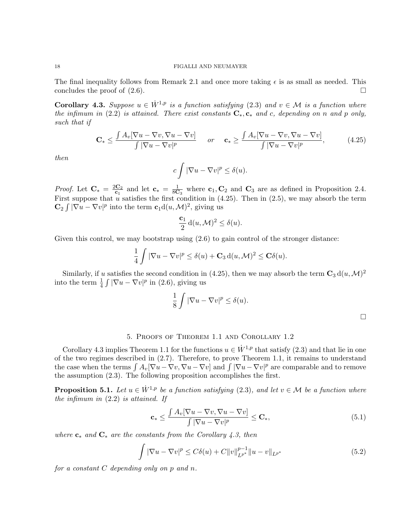The final inequality follows from Remark 2.1 and once more taking  $\epsilon$  is as small as needed. This concludes the proof of  $(2.6)$ .

**Corollary 4.3.** Suppose  $u \in \dot{W}^{1,p}$  is a function satisfying (2.3) and  $v \in \mathcal{M}$  is a function where the infimum in (2.2) is attained. There exist constants  $C_*, c_*$  and c, depending on n and p only, such that if

$$
\mathbf{C}_{*} \leq \frac{\int A_{v} [\nabla u - \nabla v, \nabla u - \nabla v]}{\int |\nabla u - \nabla v|^{p}} \quad or \quad \mathbf{c}_{*} \geq \frac{\int A_{v} [\nabla u - \nabla v, \nabla u - \nabla v]}{\int |\nabla u - \nabla v|^{p}}, \quad (4.25)
$$

then

$$
c \int |\nabla u - \nabla v|^p \le \delta(u).
$$

*Proof.* Let  $C_* = \frac{2C_2}{c_1}$  $\frac{c_2}{c_1}$  and let  $c_* = \frac{1}{8C}$  $\frac{1}{8\mathbf{C}_3}$  where  $\mathbf{c}_1, \mathbf{C}_2$  and  $\mathbf{C}_3$  are as defined in Proposition 2.4. First suppose that u satisfies the first condition in  $(4.25)$ . Then in  $(2.5)$ , we may absorb the term  $\mathbf{C}_2 \int |\nabla u - \nabla v|^p$  into the term  $\mathbf{c}_1 d(u, \mathcal{M})^2$ , giving us

$$
\frac{\mathbf{c}_1}{2} \,\mathrm{d}(u,\mathcal{M})^2 \le \delta(u).
$$

Given this control, we may bootstrap using  $(2.6)$  to gain control of the stronger distance:

$$
\frac{1}{4} \int |\nabla u - \nabla v|^p \le \delta(u) + \mathbf{C}_3 \, d(u, \mathcal{M})^2 \le \mathbf{C} \delta(u).
$$

Similarly, if u satisfies the second condition in (4.25), then we may absorb the term  $\mathbb{C}_3 d(u, \mathcal{M})^2$ into the term  $\frac{1}{4} \int |\nabla u - \nabla v|^p$  in (2.6), giving us

$$
\frac{1}{8} \int |\nabla u - \nabla v|^p \le \delta(u).
$$

 $\Box$ 

# 5. Proofs of Theorem 1.1 and Corollary 1.2

Corollary 4.3 implies Theorem 1.1 for the functions  $u \in \dot{W}^{1,p}$  that satisfy (2.3) and that lie in one of the two regimes described in (2.7). Therefore, to prove Theorem 1.1, it remains to understand the case when the terms  $\int A_v[\nabla u - \nabla v, \nabla u - \nabla v]$  and  $\int |\nabla u - \nabla v|^p$  are comparable and to remove the assumption (2.3). The following proposition accomplishes the first.

**Proposition 5.1.** Let  $u \in \dot{W}^{1,p}$  be a function satisfying (2.3), and let  $v \in \mathcal{M}$  be a function where the infimum in  $(2.2)$  is attained. If

$$
\mathbf{c}_{*} \leq \frac{\int A_{v} [\nabla u - \nabla v, \nabla u - \nabla v]}{\int |\nabla u - \nabla v|^{p}} \leq \mathbf{C}_{*},\tag{5.1}
$$

where  $c_*$  and  $C_*$  are the constants from the Corollary 4.3, then

$$
\int |\nabla u - \nabla v|^p \le C\delta(u) + C \|v\|_{L^{p^*}}^{p-1} \|u - v\|_{L^{p^*}} \tag{5.2}
$$

for a constant C depending only on p and n.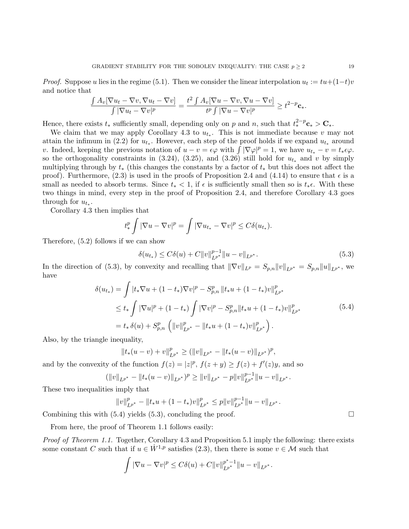*Proof.* Suppose u lies in the regime (5.1). Then we consider the linear interpolation  $u_t := tu + (1-t)v$ and notice that

$$
\frac{\int A_v[\nabla u_t - \nabla v, \nabla u_t - \nabla v]}{\int |\nabla u_t - \nabla v|^p} = \frac{t^2 \int A_v[\nabla u - \nabla v, \nabla u - \nabla v]}{t^p \int |\nabla u - \nabla v|^p} \ge t^{2-p} \mathbf{c}_*.
$$

Hence, there exists  $t_*$  sufficiently small, depending only on p and n, such that  $t_*^{2-p}c_* > C_*$ .

We claim that we may apply Corollary 4.3 to  $u_{t_*}$ . This is not immediate because v may not attain the infimum in (2.2) for  $u_{t_*}$ . However, each step of the proof holds if we expand  $u_{t_*}$  around v. Indeed, keeping the previous notation of  $u - v = \epsilon \varphi$  with  $\int |\nabla \varphi|^p = 1$ , we have  $u_{t_*} - v = t_* \epsilon \varphi$ . so the orthogonality constraints in  $(3.24)$ ,  $(3.25)$ , and  $(3.26)$  still hold for  $u_{t_*}$  and v by simply multiplying through by  $t_*$  (this changes the constants by a factor of  $t_*$  but this does not affect the proof). Furthermore, (2.3) is used in the proofs of Proposition 2.4 and (4.14) to ensure that  $\epsilon$  is a small as needed to absorb terms. Since  $t_* < 1$ , if  $\epsilon$  is sufficiently small then so is  $t_*\epsilon$ . With these two things in mind, every step in the proof of Proposition 2.4, and therefore Corollary 4.3 goes through for  $u_{t_*}$ .

Corollary 4.3 then implies that

$$
t_*^p \int |\nabla u - \nabla v|^p = \int |\nabla u_{t_*} - \nabla v|^p \le C\delta(u_{t_*}).
$$

Therefore, (5.2) follows if we can show

$$
\delta(u_{t_*}) \le C\delta(u) + C \|v\|_{L^{p^*}}^{p-1} \|u - v\|_{L^{p^*}}.
$$
\n(5.3)

In the direction of (5.3), by convexity and recalling that  $\|\nabla v\|_{L^p} = S_{p,n} \|v\|_{L^{p^*}} = S_{p,n} \|u\|_{L^{p^*}}$ , we have

$$
\delta(u_{t*}) = \int |t_* \nabla u + (1 - t_*) \nabla v|^p - S_{p,n}^p \|t_* u + (1 - t_*) v\|_{L^{p^*}}^p
$$
  
\n
$$
\leq t_* \int |\nabla u|^p + (1 - t_*) \int |\nabla v|^p - S_{p,n}^p \|t_* u + (1 - t_*) v\|_{L^{p^*}}^p
$$
  
\n
$$
= t_* \delta(u) + S_{p,n}^p \left( \|v\|_{L^{p^*}}^p - \|t_* u + (1 - t_*) v\|_{L^{p^*}}^p \right).
$$
\n(5.4)

Also, by the triangle inequality,

$$
||t_*(u-v)+v||^p_{L^{p^*}} \geq (||v||_{L^{p^*}} - ||t_*(u-v)||_{L^{p^*}})^p,
$$

and by the convexity of the function  $f(z) = |z|^p$ ,  $f(z + y) \ge f(z) + f'(z)y$ , and so

$$
(\|v\|_{L^{p^*}} - \|t_*(u-v)\|_{L^{p^*}})^p \ge \|v\|_{L^{p^*}} - p\|v\|_{L^{p^*}}^{p-1} \|u-v\|_{L^{p^*}}.
$$

These two inequalities imply that

$$
||v||_{L^{p^*}}^p - ||t_*u + (1-t_*)v||_{L^{p^*}}^p \le p||v||_{L^{p^*}}^{p-1} ||u - v||_{L^{p^*}}.
$$

Combining this with  $(5.4)$  yields  $(5.3)$ , concluding the proof.

From here, the proof of Theorem 1.1 follows easily:

Proof of Theorem 1.1. Together, Corollary 4.3 and Proposition 5.1 imply the following: there exists some constant C such that if  $u \in \dot{W}^{1,p}$  satisfies (2.3), then there is some  $v \in \mathcal{M}$  such that

$$
\int |\nabla u - \nabla v|^p \le C\delta(u) + C \|v\|_{L^{p^*}}^{p^*-1} \|u - v\|_{L^{p^*}}.
$$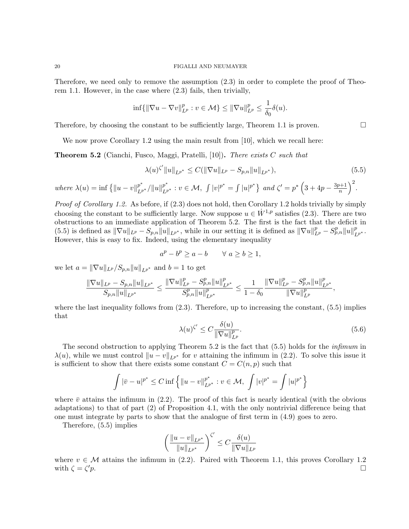Therefore, we need only to remove the assumption (2.3) in order to complete the proof of Theorem 1.1. However, in the case where (2.3) fails, then trivially,

$$
\inf \{ ||\nabla u-\nabla v||_{L^p}^p: v \in \mathcal{M} \} \le ||\nabla u||_{L^p}^p \le \frac{1}{\delta_0} \delta(u).
$$

Therefore, by choosing the constant to be sufficiently large, Theorem 1.1 is proven.  $\Box$ 

We now prove Corollary 1.2 using the main result from [10], which we recall here:

**Theorem 5.2** (Cianchi, Fusco, Maggi, Pratelli, [10]). There exists C such that

$$
\lambda(u)^{\zeta'} \|u\|_{L^{p^*}} \le C(\|\nabla u\|_{L^p} - S_{p,n} \|u\|_{L^{p^*}}),\tag{5.5}
$$

where  $\lambda(u) = \inf \{ ||u - v||_{L^{p^*}}^{p^*} / ||u||_{L^{p^*}}^{p^*} : v \in \mathcal{M}, \int |v|^{p^*} = \int |u|^{p^*} \}$  and  $\zeta' = p^* \left( 3 + 4p - \frac{3p+1}{n} \right)$  $\left(\frac{n+1}{n}\right)^2$ .

*Proof of Corollary 1.2.* As before, if  $(2.3)$  does not hold, then Corollary 1.2 holds trivially by simply choosing the constant to be sufficiently large. Now suppose  $u \in \dot{W}^{1,p}$  satisfies (2.3). There are two obstructions to an immediate application of Theorem 5.2. The first is the fact that the deficit in (5.5) is defined as  $\|\nabla u\|_{L^p} - S_{p,n} \|u\|_{L^{p^*}}$ , while in our setting it is defined as  $\|\nabla u\|_{L^p}^p - S_{p,n}^p \|u\|_{L^{p^*}}^p$ . However, this is easy to fix. Indeed, using the elementary inequality

$$
a^p - b^p \ge a - b \qquad \forall \ a \ge b \ge 1,
$$

we let  $a = ||\nabla u||_{L^p} / S_{p,n} ||u||_{L^{p^*}}$  and  $b = 1$  to get

$$
\frac{\|\nabla u\|_{L^p}-S_{p,n}\|u\|_{L^{p^*}}}{S_{p,n}\|u\|_{L^{p^*}}}\leq \frac{\|\nabla u\|_{L^p}^p-S_{p,n}^p\|u\|_{L^{p^*}}^p}{S_{p,n}^p\|u\|_{L^{p^*}}^p}\leq \frac{1}{1-\delta_0}\frac{\|\nabla u\|_{L^p}^p-S_{p,n}^p\|u\|_{L^{p^*}}^p}{\|\nabla u\|_{L^p}^p},
$$

where the last inequality follows from  $(2.3)$ . Therefore, up to increasing the constant,  $(5.5)$  implies that

$$
\lambda(u)^{\zeta'} \le C \frac{\delta(u)}{\|\nabla u\|_{L^p}^p}.\tag{5.6}
$$

The second obstruction to applying Theorem 5.2 is the fact that  $(5.5)$  holds for the *infimum* in  $\lambda(u)$ , while we must control  $||u - v||_{L^{p^*}}$  for v attaining the infimum in (2.2). To solve this issue it is sufficient to show that there exists some constant  $C = C(n, p)$  such that

$$
\int |\bar{v} - u|^{p^*} \le C \inf \left\{ ||u - v||_{L^{p^*}}^{p^*} : v \in \mathcal{M}, \int |v|^{p^*} = \int |u|^{p^*} \right\}
$$

where  $\bar{v}$  attains the infimum in (2.2). The proof of this fact is nearly identical (with the obvious adaptations) to that of part (2) of Proposition 4.1, with the only nontrivial difference being that one must integrate by parts to show that the analogue of first term in (4.9) goes to zero.

Therefore, (5.5) implies

$$
\left(\frac{\|u-v\|_{L^{p^*}}}{\|u\|_{L^{p^*}}}\right)^{\zeta'}\leq C\frac{\delta(u)}{\|\nabla u\|_{L^p}}
$$

where  $v \in \mathcal{M}$  attains the infimum in (2.2). Paired with Theorem 1.1, this proves Corollary 1.2 with  $\zeta = \zeta' p$ .  $\mathcal{D}_p$ .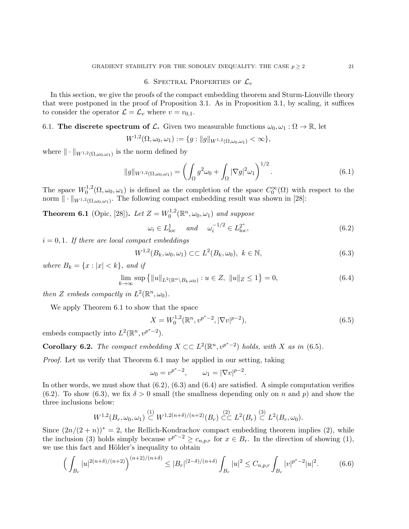## 6. SPECTRAL PROPERTIES OF  $\mathcal{L}_v$

In this section, we give the proofs of the compact embedding theorem and Sturm-Liouville theory that were postponed in the proof of Proposition 3.1. As in Proposition 3.1, by scaling, it suffices to consider the operator  $\mathcal{L} = \mathcal{L}_v$  where  $v = v_{0,1}$ .

# 6.1. The discrete spectrum of L. Given two measurable functions  $\omega_0, \omega_1 : \Omega \to \mathbb{R}$ , let

$$
W^{1,2}(\Omega,\omega_0,\omega_1):=\{g: ||g||_{W^{1,2}(\Omega,\omega_0,\omega_1)}<\infty\},\
$$

where  $\|\cdot\|_{W^{1,2}(\Omega,\omega_0,\omega_1)}$  is the norm defined by

$$
||g||_{W^{1,2}(\Omega,\omega_0,\omega_1)} = \left(\int_{\Omega} g^2 \omega_0 + \int_{\Omega} |\nabla g|^2 \omega_1\right)^{1/2}.\tag{6.1}
$$

The space  $W_0^{1,2}$  $C_0^{-1,2}(\Omega,\omega_0,\omega_1)$  is defined as the completion of the space  $C_0^{\infty}(\Omega)$  with respect to the norm  $\|\cdot\|_{W^{1,2}(\Omega,\omega_0,\omega_1)}$ . The following compact embedding result was shown in [28]:

**Theorem 6.1** (Opic, [28]). Let  $Z = W_0^{1,2}$  $v_0^{1,2}(\mathbb{R}^n, \omega_0, \omega_1)$  and suppose

$$
\omega_i \in L^1_{\text{loc}} \quad \text{and} \quad \omega_i^{-1/2} \in L^{2^*}_{\text{loc}}, \tag{6.2}
$$

 $i = 0, 1$ . If there are local compact embeddings

$$
W^{1,2}(B_k, \omega_0, \omega_1) \subset\subset L^2(B_k, \omega_0), \ k \in \mathbb{N},
$$
\n(6.3)

where  $B_k = \{x : |x| < k\}$ , and if

$$
\lim_{k \to \infty} \sup \left\{ \|u\|_{L^2(\mathbb{R}^n \setminus B_k, \omega_0)} : u \in Z, \|u\|_Z \le 1 \right\} = 0,
$$
\n(6.4)

then Z embeds compactly in  $L^2(\mathbb{R}^n, \omega_0)$ .

We apply Theorem 6.1 to show that the space

$$
X = W_0^{1,2}(\mathbb{R}^n, v^{p^*-2}, |\nabla v|^{p-2}),
$$
\n(6.5)

embeds compactly into  $L^2(\mathbb{R}^n, v^{p^*-2})$ .

**Corollary 6.2.** The compact embedding  $X \subset\subset L^2(\mathbb{R}^n, v^{p^*-2})$  holds, with X as in (6.5).

Proof. Let us verify that Theorem 6.1 may be applied in our setting, taking

$$
\omega_0 = v^{p^*-2}, \qquad \omega_1 = |\nabla v|^{p-2}.
$$

In other words, we must show that  $(6.2)$ ,  $(6.3)$  and  $(6.4)$  are satisfied. A simple computation verifies (6.2). To show (6.3), we fix  $\delta > 0$  small (the smallness depending only on n and p) and show the three inclusions below:

$$
W^{1,2}(B_r, \omega_0, \omega_1) \overset{(1)}{\subset} W^{1,2(n+\delta)/(n+2)}(B_r) \overset{(2)}{\subset} L^2(B_r) \overset{(3)}{\subset} L^2(B_r, \omega_0).
$$

Since  $(2n/(2 + n))^* = 2$ , the Rellich-Kondrachov compact embedding theorem implies (2), while the inclusion (3) holds simply because  $v^{p^*-2} \geq c_{n,p,r}$  for  $x \in B_r$ . In the direction of showing (1), we use this fact and Hölder's inequality to obtain

$$
\left(\int_{B_r} |u|^{2(n+\delta)/(n+2)}\right)^{(n+2)/(n+\delta)} \le |B_r|^{(2-\delta)/(n+\delta)} \int_{B_r} |u|^2 \le C_{n,p,r} \int_{B_r} |v|^{p^*-2} |u|^2. \tag{6.6}
$$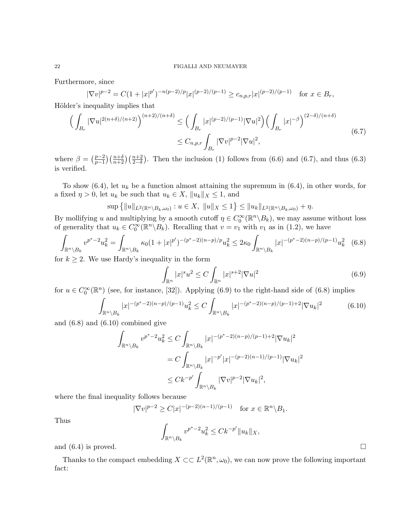Furthermore, since

$$
|\nabla v|^{p-2} = C(1+|x|^{p'})^{-n(p-2)/p}|x|^{(p-2)/(p-1)} \ge c_{n,p,r}|x|^{(p-2)/(p-1)} \text{ for } x \in B_r,
$$

Hölder's inequality implies that

$$
\left(\int_{B_r} |\nabla u|^{2(n+\delta)/(n+2)}\right)^{(n+2)/(n+\delta)} \le \left(\int_{B_r} |x|^{(p-2)/(p-1)} |\nabla u|^2\right) \left(\int_{B_r} |x|^{-\beta}\right)^{(2-\delta)/(n+\delta)} \le C_{n,p,r} \int_{B_r} |\nabla v|^{p-2} |\nabla u|^2,
$$
\n(6.7)

where  $\beta = \left(\frac{p-2}{p-1}\right)$  $\frac{p-2}{p-1}\left(\frac{n+5}{n+2}\right)\left(\frac{n+2}{2-\delta}\right)$ . Then the inclusion (1) follows from (6.6) and (6.7), and thus (6.3) is verified.

To show  $(6.4)$ , let  $u_k$  be a function almost attaining the supremum in  $(6.4)$ , in other words, for a fixed  $\eta > 0$ , let  $u_k$  be such that  $u_k \in X$ ,  $||u_k||_X \leq 1$ , and

$$
\sup\left\{\|u\|_{L^2(\mathbb{R}^n\setminus B_k,\omega_0)} : u \in X, \|u\|_X \le 1\right\} \le \|u_k\|_{L^2(\mathbb{R}^n\setminus B_k,\omega_0)} + \eta.
$$

By mollifying u and multiplying by a smooth cutoff  $\eta \in C_0^{\infty}(\mathbb{R}^n \setminus B_k)$ , we may assume without loss of generality that  $u_k \in C_0^{\infty}(\mathbb{R}^n \setminus B_k)$ . Recalling that  $v = v_1$  with  $v_1$  as in (1.2), we have

$$
\int_{\mathbb{R}^n \setminus B_k} v^{p^*-2} u_k^2 = \int_{\mathbb{R}^n \setminus B_k} \kappa_0 (1+|x|^{p'})^{-(p^*-2)(n-p)/p} u_k^2 \le 2\kappa_0 \int_{\mathbb{R}^n \setminus B_k} |x|^{-(p^*-2)(n-p)/(p-1)} u_k^2 \tag{6.8}
$$

for  $k \geq 2$ . We use Hardy's inequality in the form

$$
\int_{\mathbb{R}^n} |x|^s u^2 \le C \int_{\mathbb{R}^n} |x|^{s+2} |\nabla u|^2
$$
\n(6.9)

for  $u \in C_0^{\infty}(\mathbb{R}^n)$  (see, for instance, [32]). Applying (6.9) to the right-hand side of (6.8) implies

$$
\int_{\mathbb{R}^n \setminus B_k} |x|^{-(p^*-2)(n-p)/(p-1)} u_k^2 \le C \int_{\mathbb{R}^n \setminus B_k} |x|^{-(p^*-2)(n-p)/(p-1)+2} |\nabla u_k|^2 \tag{6.10}
$$

and (6.8) and (6.10) combined give

$$
\int_{\mathbb{R}^n \backslash B_k} v^{p^* - 2} u_k^2 \le C \int_{\mathbb{R}^n \backslash B_k} |x|^{-(p^* - 2)(n - p)/(p - 1) + 2} |\nabla u_k|^2
$$
  

$$
= C \int_{\mathbb{R}^n \backslash B_k} |x|^{-p'} |x|^{-(p - 2)(n - 1)/(p - 1)} |\nabla u_k|^2
$$
  

$$
\le C k^{-p'} \int_{\mathbb{R}^n \backslash B_k} |\nabla v|^{p - 2} |\nabla u_k|^2,
$$

where the final inequality follows because

$$
|\nabla v|^{p-2} \ge C|x|^{-(p-2)(n-1)/(p-1)}
$$
 for  $x \in \mathbb{R}^n \setminus B_1$ .

Thus

$$
\int_{\mathbb{R}^n \setminus B_k} v^{p^*-2} u_k^2 \le C k^{-p'} \|u_k\|_X,
$$

and  $(6.4)$  is proved.

Thanks to the compact embedding  $X \subset \subset L^2(\mathbb{R}^n, \omega_0)$ , we can now prove the following important fact: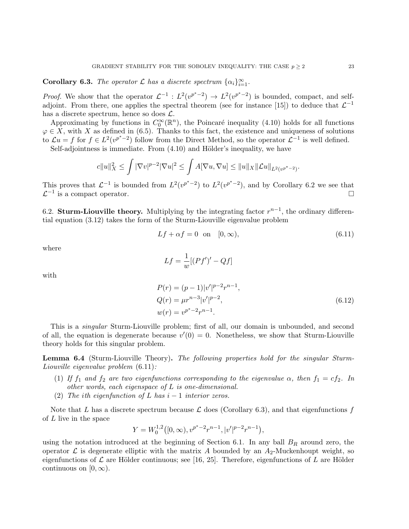**Corollary 6.3.** The operator  $\mathcal L$  has a discrete spectrum  $\{\alpha_i\}_{i=1}^{\infty}$ .

*Proof.* We show that the operator  $\mathcal{L}^{-1}$ :  $L^2(v^{p^*-2}) \to L^2(v^{p^*-2})$  is bounded, compact, and selfadjoint. From there, one applies the spectral theorem (see for instance [15]) to deduce that  $\mathcal{L}^{-1}$ has a discrete spectrum, hence so does  $\mathcal{L}$ .

Approximating by functions in  $C_0^{\infty}(\mathbb{R}^n)$ , the Poincaré inequality (4.10) holds for all functions  $\varphi \in X$ , with X as defined in (6.5). Thanks to this fact, the existence and uniqueness of solutions to  $\mathcal{L}u = f$  for  $f \in L^2(v^{p^*-2})$  follow from the Direct Method, so the operator  $\mathcal{L}^{-1}$  is well defined.

Self-adjointness is immediate. From  $(4.10)$  and Hölder's inequality, we have

$$
c||u||_X^2 \le \int |\nabla v|^{p-2} |\nabla u|^2 \le \int A[\nabla u, \nabla u] \le ||u||_X ||\mathcal{L}u||_{L^2(v^{p^*-2})}
$$

This proves that  $\mathcal{L}^{-1}$  is bounded from  $L^2(v^{p^*-2})$  to  $L^2(v^{p^*-2})$ , and by Corollary 6.2 we see that  $\mathcal{L}^{-1}$  is a compact operator.

6.2. Sturm-Liouville theory. Multiplying by the integrating factor  $r^{n-1}$ , the ordinary differential equation (3.12) takes the form of the Sturm-Liouville eigenvalue problem

$$
Lf + \alpha f = 0 \quad \text{on} \quad [0, \infty), \tag{6.11}
$$

.

where

$$
Lf = \frac{1}{w} [(Pf')' - Qf]
$$

with

$$
P(r) = (p-1)|v'|^{p-2}r^{n-1},
$$
  
\n
$$
Q(r) = \mu r^{n-3}|v'|^{p-2},
$$
  
\n
$$
w(r) = v^{p^*-2}r^{n-1}.
$$
\n(6.12)

This is a singular Sturm-Liouville problem; first of all, our domain is unbounded, and second of all, the equation is degenerate because  $v'(0) = 0$ . Nonetheless, we show that Sturm-Liouville theory holds for this singular problem.

Lemma 6.4 (Sturm-Liouville Theory). The following properties hold for the singular Sturm-Liouville eigenvalue problem (6.11):

- (1) If  $f_1$  and  $f_2$  are two eigenfunctions corresponding to the eigenvalue  $\alpha$ , then  $f_1 = cf_2$ . In other words, each eigenspace of L is one-dimensional.
- (2) The ith eigenfunction of L has  $i-1$  interior zeros.

Note that L has a discrete spectrum because  $\mathcal L$  does (Corollary 6.3), and that eigenfunctions f of L live in the space

$$
Y = W_0^{1,2}([0,\infty), v^{p^*-2}r^{n-1}, |v'|^{p-2}r^{n-1}),
$$

using the notation introduced at the beginning of Section 6.1. In any ball  $B_R$  around zero, the operator  $\mathcal L$  is degenerate elliptic with the matrix A bounded by an  $A_2$ -Muckenhoupt weight, so eigenfunctions of  $\mathcal L$  are Hölder continuous; see [16, 25]. Therefore, eigenfunctions of L are Hölder continuous on  $[0, \infty)$ .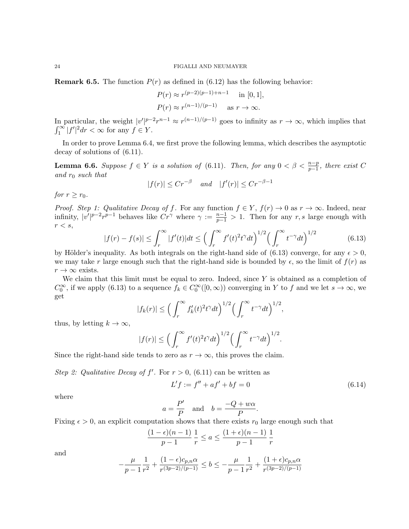**Remark 6.5.** The function  $P(r)$  as defined in (6.12) has the following behavior:

$$
P(r) \approx r^{(p-2)(p-1)+n-1}
$$
 in [0, 1],  
 $P(r) \approx r^{(n-1)/(p-1)}$  as  $r \to \infty$ .

In particular, the weight  $|v'|^{p-2}r^{n-1} \approx r^{(n-1)/(p-1)}$  goes to infinity as  $r \to \infty$ , which implies that  $\int_1^\infty |f'|^2 dr < \infty$  for any  $f \in Y$ .

In order to prove Lemma 6.4, we first prove the following lemma, which describes the asymptotic decay of solutions of (6.11).

**Lemma 6.6.** Suppose  $f \in Y$  is a solution of (6.11). Then, for any  $0 < \beta < \frac{n-p}{p-1}$ , there exist C and  $r_0$  such that

$$
|f(r)| \le Cr^{-\beta} \quad and \quad |f'(r)| \le Cr^{-\beta - 1}
$$

for  $r \geq r_0$ .

*Proof. Step 1: Qualitative Decay of f.* For any function  $f \in Y$ ,  $f(r) \to 0$  as  $r \to \infty$ . Indeed, near infinity,  $|v'|^{p-2}r^{p-1}$  behaves like  $Cr^{\gamma}$  where  $\gamma := \frac{n-1}{p-1} > 1$ . Then for any r, s large enough with  $r < s$ ,

$$
|f(r) - f(s)| \le \int_r^{\infty} |f'(t)|dt \le \left(\int_r^{\infty} f'(t)^2 t^{\gamma} dt\right)^{1/2} \left(\int_r^{\infty} t^{-\gamma} dt\right)^{1/2}
$$
(6.13)

by Hölder's inequality. As both integrals on the right-hand side of (6.13) converge, for any  $\epsilon > 0$ , we may take r large enough such that the right-hand side is bounded by  $\epsilon$ , so the limit of  $f(r)$  as  $r \to \infty$  exists.

We claim that this limit must be equal to zero. Indeed, since  $Y$  is obtained as a completion of  $C_0^{\infty}$ , if we apply (6.13) to a sequence  $f_k \in C_0^{\infty}([0,\infty))$  converging in Y to f and we let  $s \to \infty$ , we get

$$
|f_k(r)| \le \left(\int_r^{\infty} f'_k(t)^2 t^{\gamma} dt\right)^{1/2} \left(\int_r^{\infty} t^{-\gamma} dt\right)^{1/2}
$$

thus, by letting  $k \to \infty$ ,

$$
|f(r)| \le \left(\int_r^{\infty} f'(t)^2 t^{\gamma} dt\right)^{1/2} \left(\int_r^{\infty} t^{-\gamma} dt\right)^{1/2}.
$$

Since the right-hand side tends to zero as  $r \to \infty$ , this proves the claim.

Step 2: Qualitative Decay of f'. For  $r > 0$ , (6.11) can be written as

$$
L'f := f'' + af' + bf = 0 \tag{6.14}
$$

,

where

$$
a = \frac{P'}{P}
$$
 and  $b = \frac{-Q + w\alpha}{P}$ .

Fixing  $\epsilon > 0$ , an explicit computation shows that there exists  $r_0$  large enough such that

$$
\frac{(1-\epsilon)(n-1)}{p-1}\frac{1}{r} \le a \le \frac{(1+\epsilon)(n-1)}{p-1}\frac{1}{r}
$$

and

$$
-\frac{\mu}{p-1}\frac{1}{r^2}+\frac{(1-\epsilon)c_{p,n}\alpha}{r^{(3p-2)/(p-1)}}\leq b\leq -\frac{\mu}{p-1}\frac{1}{r^2}+\frac{(1+\epsilon)c_{p,n}\alpha}{r^{(3p-2)/(p-1)}}
$$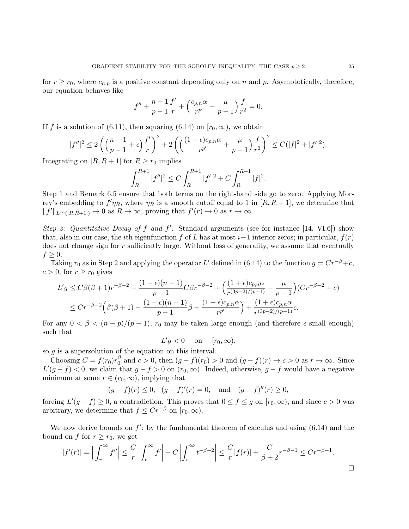for  $r \ge r_0$ , where  $c_{n,p}$  is a positive constant depending only on n and p. Asymptotically, therefore, our equation behaves like

$$
f'' + \frac{n-1}{p-1} \frac{f'}{r} + \left(\frac{c_{p,n}\alpha}{r^{p'}} - \frac{\mu}{p-1}\right) \frac{f}{r^2} = 0.
$$

If f is a solution of (6.11), then squaring (6.14) on  $[r_0, \infty)$ , we obtain

$$
|f''|^2 \le 2\left(\left(\frac{n-1}{p-1} + \epsilon\right)\frac{f'}{r}\right)^2 + 2\left(\left(\frac{(1+\epsilon)c_{p,n}\alpha}{r^{p'}} + \frac{\mu}{p-1}\right)\frac{f}{r^2}\right)^2 \le C(|f|^2 + |f'|^2).
$$

Integrating on  $[R, R+1]$  for  $R \ge r_0$  implies

$$
\int_{R}^{R+1} |f''|^{2} \le C \int_{R}^{R+1} |f'|^{2} + C \int_{R}^{R+1} |f|^{2}.
$$

Step 1 and Remark 6.5 ensure that both terms on the right-hand side go to zero. Applying Morrey's embedding to  $f'\eta_R$ , where  $\eta_R$  is a smooth cutoff equal to 1 in  $[R, R+1]$ , we determine that  $||f'||_{L^{\infty}([R,R+1])} \to 0$  as  $R \to \infty$ , proving that  $f'(r) \to 0$  as  $r \to \infty$ .

Step 3: Quantitative Decay of f and  $f'$ . Standard arguments (see for instance [14, VI.6]) show that, also in our case, the *i*th eigenfunction f of L has at most  $i-1$  interior zeros; in particular,  $f(r)$ does not change sign for r sufficiently large. Without loss of generality, we assume that eventually  $f \geq 0$ .

Taking  $r_0$  as in Step 2 and applying the operator L' defined in (6.14) to the function  $g = Cr^{-\beta} + c$ ,  $c > 0$ , for  $r \ge r_0$  gives

$$
L'g \leq C\beta(\beta+1)r^{-\beta-2} - \frac{(1-\epsilon)(n-1)}{p-1}C\beta r^{-\beta-2} + \left(\frac{(1+\epsilon)c_{p,n}\alpha}{r^{(3p-2)/(p-1)}} - \frac{\mu}{p-1}\right)(Cr^{-\beta-2} + c)
$$
  

$$
\leq Cr^{-\beta-2}\left(\beta(\beta+1) - \frac{(1-\epsilon)(n-1)}{p-1}\beta + \frac{(1+\epsilon)c_{p,n}\alpha}{r^{p'}}\right) + \frac{(1+\epsilon)c_{p,n}\alpha}{r^{(3p-2)/(p-1)}}c.
$$

For any  $0 < \beta < (n - p)/(p - 1)$ ,  $r_0$  may be taken large enough (and therefore  $\epsilon$  small enough) such that

 $L'g < 0$  on  $[r_0, \infty),$ 

so  $g$  is a supersolution of the equation on this interval.

Choosing  $C = f(r_0)r_0^{\beta}$  $\int_{0}^{\beta}$  and  $c > 0$ , then  $(g - f)(r_0) > 0$  and  $(g - f)(r) \to c > 0$  as  $r \to \infty$ . Since  $L'(g - f) < 0$ , we claim that  $g - f > 0$  on  $(r_0, \infty)$ . Indeed, otherwise,  $g - f$  would have a negative minimum at some  $r \in (r_0, \infty)$ , implying that

$$
(g - f)(r) \le 0
$$
,  $(g - f)'(r) = 0$ , and  $(g - f)''(r) \ge 0$ ,

forcing  $L'(g - f) \geq 0$ , a contradiction. This proves that  $0 \leq f \leq g$  on  $[r_0, \infty)$ , and since  $c > 0$  was arbitrary, we determine that  $f \leq Cr^{-\beta}$  on  $[r_0, \infty)$ .

We now derive bounds on  $f'$ : by the fundamental theorem of calculus and using  $(6.14)$  and the bound on f for  $r \ge r_0$ , we get

$$
|f'(r)| = \Big| \int_r^{\infty} f'' \Big| \leq \frac{C}{r} \left| \int_r^{\infty} f' \right| + C \left| \int_r^{\infty} t^{-\beta - 2} \right| \leq \frac{C}{r} |f(r)| + \frac{C}{\beta + 2} r^{-\beta - 1} \leq C r^{-\beta - 1}.
$$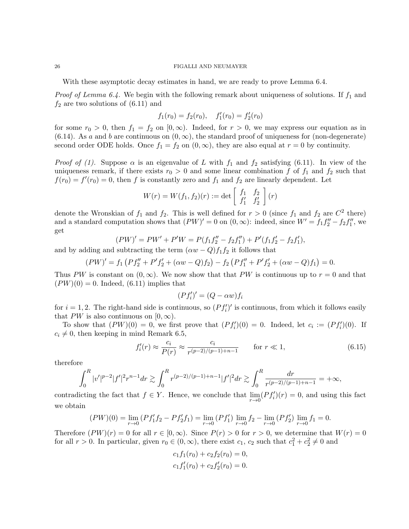With these asymptotic decay estimates in hand, we are ready to prove Lemma 6.4.

*Proof of Lemma 6.4.* We begin with the following remark about uniqueness of solutions. If  $f_1$  and  $f_2$  are two solutions of  $(6.11)$  and

$$
f_1(r_0) = f_2(r_0), \quad f'_1(r_0) = f'_2(r_0)
$$

for some  $r_0 > 0$ , then  $f_1 = f_2$  on  $[0, \infty)$ . Indeed, for  $r > 0$ , we may express our equation as in (6.14). As a and b are continuous on  $(0, \infty)$ , the standard proof of uniqueness for (non-degenerate) second order ODE holds. Once  $f_1 = f_2$  on  $(0, \infty)$ , they are also equal at  $r = 0$  by continuity.

*Proof of (1).* Suppose  $\alpha$  is an eigenvalue of L with  $f_1$  and  $f_2$  satisfying (6.11). In view of the uniqueness remark, if there exists  $r_0 > 0$  and some linear combination f of  $f_1$  and  $f_2$  such that  $f(r_0) = f'(r_0) = 0$ , then f is constantly zero and  $f_1$  and  $f_2$  are linearly dependent. Let

$$
W(r) = W(f_1, f_2)(r) := \det \begin{bmatrix} f_1 & f_2 \\ f'_1 & f'_2 \end{bmatrix}(r)
$$

denote the Wronskian of  $f_1$  and  $f_2$ . This is well defined for  $r > 0$  (since  $f_1$  and  $f_2$  are  $C^2$  there) and a standard computation shows that  $(PW)' = 0$  on  $(0, \infty)$ : indeed, since  $W' = f_1 f''_2 - f_2 f''_1$ , we get

$$
(PW)' = PW' + P'W = P(f_1f_2'' - f_2f_1'') + P'(f_1f_2' - f_2f_1'),
$$

and by adding and subtracting the term  $(\alpha w - Q) f_1 f_2$  it follows that

$$
(PW)' = f_1 \left( P f_2'' + P' f_2' + (\alpha w - Q) f_2 \right) - f_2 \left( P f_1'' + P' f_2' + (\alpha w - Q) f_1 \right) = 0.
$$

Thus PW is constant on  $(0, \infty)$ . We now show that that PW is continuous up to  $r = 0$  and that  $(PW)(0) = 0$ . Indeed, (6.11) implies that

$$
(Pf_i')' = (Q - \alpha w)f_i
$$

for  $i = 1, 2$ . The right-hand side is continuous, so  $(P f_i')'$  is continuous, from which it follows easily that PW is also continuous on  $[0, \infty)$ .

To show that  $(PW)(0) = 0$ , we first prove that  $(Pf'_i)(0) = 0$ . Indeed, let  $c_i := (Pf'_i)(0)$ . If  $c_i \neq 0$ , then keeping in mind Remark 6.5,

$$
f'_i(r) \approx \frac{c_i}{P(r)} \approx \frac{c_i}{r^{(p-2)/(p-1)+n-1}}
$$
 for  $r \ll 1$ , (6.15)

therefore

$$
\int_0^R |v'|^{p-2} |f'|^2 r^{n-1} dr \gtrsim \int_0^R r^{(p-2)/(p-1)+n-1} |f'|^2 dr \gtrsim \int_0^R \frac{dr}{r^{(p-2)/(p-1)+n-1}} = +\infty,
$$

contradicting the fact that  $f \in Y$ . Hence, we conclude that  $\lim_{r \to 0} (Pf'_i)(r) = 0$ , and using this fact we obtain

$$
(PW)(0) = \lim_{r \to 0} (Pf'_1f_2 - Pf'_2f_1) = \lim_{r \to 0} (Pf'_1) \lim_{r \to 0} f_2 - \lim_{r \to 0} (Pf'_2) \lim_{r \to 0} f_1 = 0.
$$

Therefore  $(PW)(r) = 0$  for all  $r \in [0, \infty)$ . Since  $P(r) > 0$  for  $r > 0$ , we determine that  $W(r) = 0$ for all  $r > 0$ . In particular, given  $r_0 \in (0, \infty)$ , there exist  $c_1, c_2$  such that  $c_1^2 + c_2^2 \neq 0$  and

$$
c_1 f_1(r_0) + c_2 f_2(r_0) = 0,
$$
  

$$
c_1 f'_1(r_0) + c_2 f'_2(r_0) = 0.
$$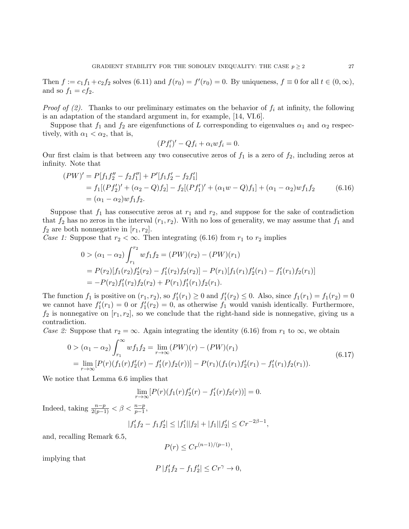Then  $f := c_1 f_1 + c_2 f_2$  solves  $(6.11)$  and  $f(r_0) = f'(r_0) = 0$ . By uniqueness,  $f \equiv 0$  for all  $t \in (0, \infty)$ , and so  $f_1 = cf_2$ .

*Proof of (2).* Thanks to our preliminary estimates on the behavior of  $f_i$  at infinity, the following is an adaptation of the standard argument in, for example, [14, VI.6].

Suppose that  $f_1$  and  $f_2$  are eigenfunctions of L corresponding to eigenvalues  $\alpha_1$  and  $\alpha_2$  respectively, with  $\alpha_1 < \alpha_2$ , that is,

$$
(Pf_i')' - Qf_i + \alpha_i w f_i = 0.
$$

Our first claim is that between any two consecutive zeros of  $f_1$  is a zero of  $f_2$ , including zeros at infinity. Note that

$$
(PW)' = P[f_1f_2'' - f_2f_1''] + P'[f_1f_2' - f_2f_1']
$$
  
=  $f_1[(Pf_2')' + (\alpha_2 - Q)f_2] - f_2[(Pf_1')' + (\alpha_1w - Q)f_1] + (\alpha_1 - \alpha_2)wf_1f_2$  (6.16)  
=  $(\alpha_1 - \alpha_2)wf_1f_2$ .

Suppose that  $f_1$  has consecutive zeros at  $r_1$  and  $r_2$ , and suppose for the sake of contradiction that  $f_2$  has no zeros in the interval  $(r_1, r_2)$ . With no loss of generality, we may assume that  $f_1$  and  $f_2$  are both nonnegative in  $[r_1, r_2]$ .

Case 1: Suppose that  $r_2 < \infty$ . Then integrating (6.16) from  $r_1$  to  $r_2$  implies

$$
0 > (\alpha_1 - \alpha_2) \int_{r_1}^{r_2} w f_1 f_2 = (PW)(r_2) - (PW)(r_1)
$$
  
=  $P(r_2)[f_1(r_2)f'_2(r_2) - f'_1(r_2)f_2(r_2)] - P(r_1)[f_1(r_1)f'_2(r_1) - f'_1(r_1)f_2(r_1)]$   
=  $-P(r_2)f'_1(r_2)f_2(r_2) + P(r_1)f'_1(r_1)f_2(r_1).$ 

The function  $f_1$  is positive on  $(r_1, r_2)$ , so  $f'_1(r_1) \ge 0$  and  $f'_1(r_2) \le 0$ . Also, since  $f_1(r_1) = f_1(r_2) = 0$ we cannot have  $f_1'(r_1) = 0$  or  $f_1'(r_2) = 0$ , as otherwise  $f_1$  would vanish identically. Furthermore,  $f_2$  is nonnegative on  $[r_1, r_2]$ , so we conclude that the right-hand side is nonnegative, giving us a contradiction.

Case 2: Suppose that  $r_2 = \infty$ . Again integrating the identity (6.16) from  $r_1$  to  $\infty$ , we obtain

$$
0 > (\alpha_1 - \alpha_2) \int_{r_1}^{\infty} w f_1 f_2 = \lim_{r \to \infty} (PW)(r) - (PW)(r_1)
$$
  
= 
$$
\lim_{r \to \infty} [P(r)(f_1(r) f_2'(r) - f_1'(r) f_2(r))] - P(r_1)(f_1(r_1) f_2'(r_1) - f_1'(r_1) f_2(r_1)).
$$
 (6.17)

We notice that Lemma 6.6 implies that

$$
\lim_{r \to \infty} [P(r)(f_1(r)f_2'(r) - f_1'(r)f_2(r))] = 0.
$$

Indeed, taking  $\frac{n-p}{2(p-1)} < \beta < \frac{n-p}{p-1}$ ,

$$
|f'_1f_2 - f_1f'_2| \le |f'_1||f_2| + |f_1||f'_2| \le Cr^{-2\beta - 1},
$$

and, recalling Remark 6.5,

$$
P(r) \le Cr^{(n-1)/(p-1)},
$$

implying that

$$
P\left|f_1'f_2 - f_1f_2'\right| \le Cr^\gamma \to 0,
$$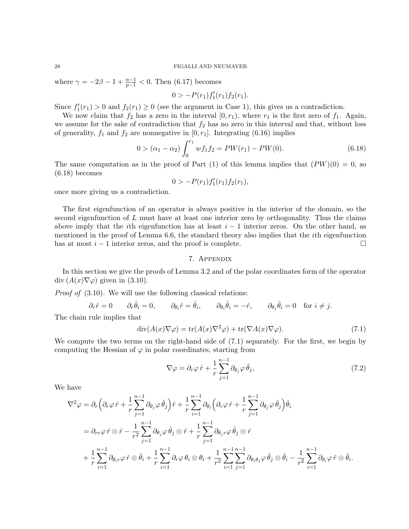where  $\gamma = -2\beta - 1 + \frac{n-1}{p-1} < 0$ . Then (6.17) becomes

$$
0 \gt -P(r_1)f'_1(r_1)f_2(r_1).
$$

Since  $f'_1(r_1) > 0$  and  $f_2(r_1) \ge 0$  (see the argument in Case 1), this gives us a contradiction.

We now claim that  $f_2$  has a zero in the interval  $[0, r_1)$ , where  $r_1$  is the first zero of  $f_1$ . Again, we assume for the sake of contradiction that  $f_2$  has no zero in this interval and that, without loss of generality,  $f_1$  and  $f_2$  are nonnegative in [0,  $r_1$ ]. Integrating (6.16) implies

$$
0 > (\alpha_1 - \alpha_2) \int_0^{r_1} w f_1 f_2 = PW(r_1) - PW(0).
$$
 (6.18)

The same computation as in the proof of Part (1) of this lemma implies that  $(PW)(0) = 0$ , so (6.18) becomes

$$
0 > -P(r_1)f'_1(r_1)f_2(r_1),
$$

once more giving us a contradiction.

The first eigenfunction of an operator is always positive in the interior of the domain, so the second eigenfunction of  $L$  must have at least one interior zero by orthogonality. Thus the claims above imply that the *i*th eigenfunction has at least  $i - 1$  interior zeros. On the other hand, as mentioned in the proof of Lemma 6.6, the standard theory also implies that the ith eigenfunction has at most  $i - 1$  interior zeros, and the proof is complete.  $\Box$ 

## 7. Appendix

In this section we give the proofs of Lemma 3.2 and of the polar coordinates form of the operator  $\text{div}\,(A(x)\nabla\varphi)$  given in (3.10).

Proof of  $(3.10)$ . We will use the following classical relations:

$$
\partial_r \hat{r} = 0
$$
  $\partial_r \hat{\theta}_i = 0$ ,  $\partial_{\theta_i} \hat{r} = \hat{\theta}_i$ ,  $\partial_{\theta_i} \hat{\theta}_i = -\hat{r}$ ,  $\partial_{\theta_j} \hat{\theta}_i = 0$  for  $i \neq j$ .

The chain rule implies that

$$
\operatorname{div}(A(x)\nabla\varphi) = \operatorname{tr}(A(x)\nabla^2\varphi) + \operatorname{tr}(\nabla A(x)\nabla\varphi). \tag{7.1}
$$

We compute the two terms on the right-hand side of (7.1) separately. For the first, we begin by computing the Hessian of  $\varphi$  in polar coordinates, starting from

$$
\nabla \varphi = \partial_r \varphi \,\hat{r} + \frac{1}{r} \sum_{j=1}^{n-1} \partial_{\theta_j} \varphi \,\hat{\theta}_j,\tag{7.2}
$$

We have

$$
\nabla^2 \varphi = \partial_r \left( \partial_r \varphi \, \hat{r} + \frac{1}{r} \sum_{j=1}^{n-1} \partial_{\theta_j} \varphi \, \hat{\theta}_j \right) \hat{r} + \frac{1}{r} \sum_{i=1}^{n-1} \partial_{\theta_i} \left( \partial_r \varphi \, \hat{r} + \frac{1}{r} \sum_{j=1}^{n-1} \partial_{\theta_j} \varphi \, \hat{\theta}_j \right) \hat{\theta}_i
$$
  
\n
$$
= \partial_{rr} \varphi \, \hat{r} \otimes \hat{r} - \frac{1}{r^2} \sum_{j=1}^{n-1} \partial_{\theta_j} \varphi \, \hat{\theta}_j \otimes \hat{r} + \frac{1}{r} \sum_{j=1}^{n-1} \partial_{\theta_j r} \varphi \, \hat{\theta}_j \otimes \hat{r}
$$
  
\n
$$
+ \frac{1}{r} \sum_{i=1}^{n-1} \partial_{\theta_i r} \varphi \, \hat{r} \otimes \hat{\theta}_i + \frac{1}{r} \sum_{i=1}^{n-1} \partial_r \varphi \, \theta_i \otimes \theta_i + \frac{1}{r^2} \sum_{i=1}^{n-1} \sum_{j=1}^{n-1} \partial_{\theta_i \theta_j} \varphi \, \hat{\theta}_j \otimes \hat{\theta}_i - \frac{1}{r^2} \sum_{i=1}^{n-1} \partial_{\theta_i} \varphi \, \hat{r} \otimes \hat{\theta}_i.
$$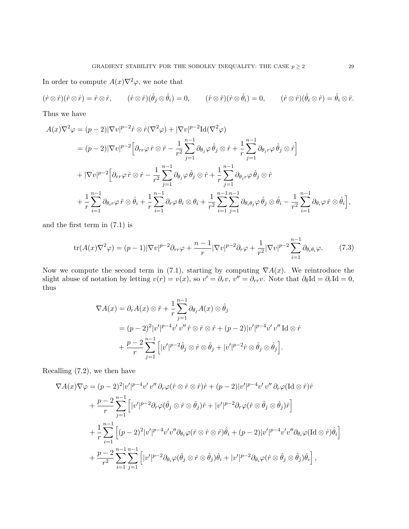In order to compute  $A(x)\nabla^2\varphi$ , we note that

$$
(\hat{r}\otimes\hat{r})(\hat{r}\otimes\hat{r})=\hat{r}\otimes\hat{r},\qquad (\hat{r}\otimes\hat{r})(\hat{\theta}_j\otimes\hat{\theta}_i)=0,\qquad (\hat{r}\otimes\hat{r})(\hat{r}\otimes\hat{\theta}_i)=0,\qquad (\hat{r}\otimes\hat{r})(\hat{\theta}_i\otimes\hat{r})=\hat{\theta}_i\otimes\hat{r}.
$$

Thus we have

$$
A(x)\nabla^2 \varphi = (p-2)|\nabla v|^{p-2}\hat{r}\otimes \hat{r}(\nabla^2 \varphi) + |\nabla v|^{p-2}\mathrm{Id}(\nabla^2 \varphi)
$$
  
\n
$$
= (p-2)|\nabla v|^{p-2}\Big[\partial_{rr}\varphi \,\hat{r}\otimes \hat{r} - \frac{1}{r^2}\sum_{j=1}^{n-1}\partial_{\theta_j}\varphi \,\hat{\theta}_j\otimes \hat{r} + \frac{1}{r}\sum_{j=1}^{n-1}\partial_{\theta_jr}\varphi \,\hat{\theta}_j\otimes \hat{r}\Big]
$$
  
\n
$$
+ |\nabla v|^{p-2}\Big[\partial_{rr}\varphi \,\hat{r}\otimes \hat{r} - \frac{1}{r^2}\sum_{j=1}^{n-1}\partial_{\theta_j}\varphi \,\hat{\theta}_j\otimes \hat{r} + \frac{1}{r}\sum_{j=1}^{n-1}\partial_{\theta_jr}\varphi \,\hat{\theta}_j\otimes \hat{r}
$$
  
\n
$$
+ \frac{1}{r}\sum_{i=1}^{n-1}\partial_{\theta_i r}\varphi \,\hat{r}\otimes \hat{\theta}_i + \frac{1}{r}\sum_{i=1}^{n-1}\partial_{r}\varphi \,\theta_i\otimes \theta_i + \frac{1}{r^2}\sum_{i=1}^{n-1}\sum_{j=1}^{n-1}\partial_{\theta_i\theta_j}\varphi \,\hat{\theta}_j\otimes \hat{\theta}_i - \frac{1}{r^2}\sum_{i=1}^{n-1}\partial_{\theta_i}\varphi \,\hat{r}\otimes \hat{\theta}_i\Big],
$$

and the first term in (7.1) is

$$
\text{tr}(A(x)\nabla^2 \varphi) = (p-1)|\nabla v|^{p-2}\partial_{rr}\varphi + \frac{n-1}{r}|\nabla v|^{p-2}\partial_r\varphi + \frac{1}{r^2}|\nabla v|^{p-2}\sum_{i=1}^{n-1}\partial_{\theta_i\theta_i}\varphi.
$$
 (7.3)

Now we compute the second term in (7.1), starting by computing  $\nabla A(x)$ . We reintroduce the slight abuse of notation by letting  $v(r) = v(x)$ , so  $v' = \partial_r v$ ,  $v'' = \partial_{rr} v$ . Note that  $\partial_{\theta} \text{Id} = \partial_r \text{Id} = 0$ , thus

$$
\nabla A(x) = \partial_r A(x) \otimes \hat{r} + \frac{1}{r} \sum_{j=1}^{n-1} \partial_{\theta_j} A(x) \otimes \hat{\theta}_j
$$
  
=  $(p-2)^2 |v'|^{p-4} v' v'' \hat{r} \otimes \hat{r} \otimes \hat{r} + (p-2) |v'|^{p-4} v' v'' \operatorname{Id} \otimes \hat{r}$   
+  $\frac{p-2}{r} \sum_{j=1}^{n-1} [|v'|^{p-2} \hat{\theta}_j \otimes \hat{r} \otimes \hat{\theta}_j + |v'|^{p-2} \hat{r} \otimes \hat{\theta}_j \otimes \hat{\theta}_j].$ 

Recalling (7.2), we then have

$$
\nabla A(x)\nabla \varphi = (p-2)^2 |v'|^{p-4}v' v'' \partial_r \varphi(\hat{r}\otimes \hat{r}\otimes \hat{r})\hat{r} + (p-2)|v'|^{p-4}v' v'' \partial_r \varphi(\text{Id}\otimes \hat{r})\hat{r} \n+ \frac{p-2}{r} \sum_{j=1}^{n-1} \left[|v'|^{p-2} \partial_r \varphi(\hat{\theta}_j\otimes \hat{r}\otimes \hat{\theta}_j)\hat{r} + |v'|^{p-2} \partial_r \varphi(\hat{r}\otimes \hat{\theta}_j\otimes \hat{\theta}_j)\hat{r}\right] \n+ \frac{1}{r} \sum_{i=1}^{n-1} \left[ (p-2)^2 |v'|^{p-4} v' v'' \partial_{\theta_i} \varphi(\hat{r}\otimes \hat{r}\otimes \hat{r})\hat{\theta}_i + (p-2)|v'|^{p-4} v' v'' \partial_{\theta_i} \varphi(\text{Id}\otimes \hat{r})\hat{\theta}_i\right] \n+ \frac{p-2}{r^2} \sum_{i=1}^{n-1} \sum_{j=1}^{n-1} \left[ |v'|^{p-2} \partial_{\theta_i} \varphi(\hat{\theta}_j\otimes \hat{r}\otimes \hat{\theta}_j)\hat{\theta}_i + |v'|^{p-2} \partial_{\theta_i} \varphi(\hat{r}\otimes \hat{\theta}_j\otimes \hat{\theta}_j)\hat{\theta}_i\right],
$$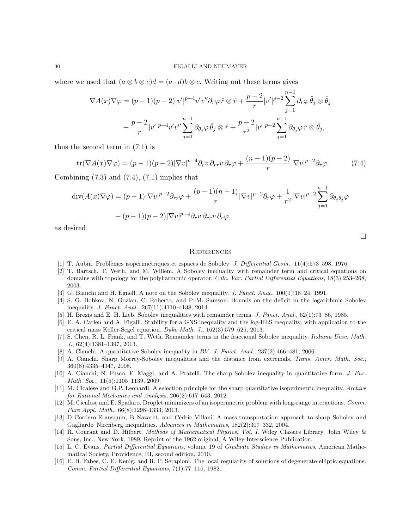where we used that  $(a \otimes b \otimes c)d = (a \cdot d)b \otimes c$ . Writing out these terms gives

$$
\nabla A(x)\nabla \varphi = (p-1)(p-2)|v'|^{p-4}v'v''\partial_r\varphi \,\hat{r}\otimes \hat{r} + \frac{p-2}{r}|v'|^{p-2}\sum_{j=1}^{n-1}\partial_r\varphi \,\hat{\theta}_j\otimes \hat{\theta}_j
$$
  
+ 
$$
\frac{p-2}{r}|v'|^{p-4}v'v''\sum_{j=1}^{n-1}\partial_{\theta_j}\varphi \,\hat{\theta}_j\otimes \hat{r} + \frac{p-2}{r^2}|v'|^{p-2}\sum_{j=1}^{n-1}\partial_{\theta_j}\varphi \,\hat{r}\otimes \hat{\theta}_j,
$$

thus the second term in (7.1) is

$$
\text{tr}(\nabla A(x)\nabla \varphi) = (p-1)(p-2)|\nabla v|^{p-4}\partial_r v \,\partial_{rr} v \,\partial_r \varphi + \frac{(n-1)(p-2)}{r}|\nabla v|^{p-2}\partial_r \varphi. \tag{7.4}
$$

Combining  $(7.3)$  and  $(7.4)$ ,  $(7.1)$  implies that

$$
\operatorname{div}(A(x)\nabla\varphi) = (p-1)|\nabla v|^{p-2}\partial_{rr}\varphi + \frac{(p-1)(n-1)}{r}|\nabla v|^{p-2}\partial_r\varphi + \frac{1}{r^2}|\nabla v|^{p-2}\sum_{j=1}^{n-1}\partial_{\theta_j\theta_j}\varphi
$$

$$
+ (p-1)(p-2)|\nabla v|^{p-4}\partial_r v \partial_{rr}v \partial_r\varphi,
$$

as desired.

#### **REFERENCES**

- [1] T. Aubin. Probl`emes isop´erim´etriques et espaces de Sobolev. J. Differential Geom., 11(4):573–598, 1976.
- [2] T. Bartsch, T. Weth, and M. Willem. A Sobolev inequality with remainder term and critical equations on domains with topology for the polyharmonic operator. Calc. Var. Partial Differential Equations, 18(3):253–268, 2003.
- [3] G. Bianchi and H. Egnell. A note on the Sobolev inequality. J. Funct. Anal., 100(1):18–24, 1991.
- [4] S. G. Bobkov, N. Gozlan, C. Roberto, and P.-M. Samson. Bounds on the deficit in the logarithmic Sobolev inequality. J. Funct. Anal., 267(11):4110–4138, 2014.
- [5] H. Brezis and E. H. Lieb. Sobolev inequalities with remainder terms. J. Funct. Anal., 62(1):73–86, 1985.
- [6] E. A. Carlen and A. Figalli. Stability for a GNS inequality and the log-HLS inequality, with application to the critical mass Keller-Segel equation. Duke Math. J., 162(3):579–625, 2013.
- [7] S. Chen, R. L. Frank, and T. Weth. Remainder terms in the fractional Sobolev inequality. Indiana Univ. Math. J., 62(4):1381–1397, 2013.
- [8] A. Cianchi. A quantitative Sobolev inequality in BV . J. Funct. Anal., 237(2):466–481, 2006.
- [9] A. Cianchi. Sharp Morrey-Sobolev inequalities and the distance from extremals. Trans. Amer. Math. Soc., 360(8):4335–4347, 2008.
- [10] A. Cianchi, N. Fusco, F. Maggi, and A. Pratelli. The sharp Sobolev inequality in quantitative form. J. Eur. Math. Soc., 11(5):1105–1139, 2009.
- [11] M. Cicalese and G.P. Leonardi. A selection principle for the sharp quantitative isoperimetric inequality. Archive for Rational Mechanics and Analysis, 206(2):617–643, 2012.
- [12] M. Cicalese and E. Spadaro. Droplet minimizers of an isoperimetric problem with long-range interactions. Comm. Pure Appl. Math., 66(8):1298–1333, 2013.
- [13] D Cordero-Erausquin, B Nazaret, and Cédric Villani. A mass-transportation approach to sharp Sobolev and Gagliardo–Nirenberg inequalities. Advances in Mathematics, 182(2):307–332, 2004.
- [14] R. Courant and D. Hilbert. Methods of Mathematical Physics. Vol. I. Wiley Classics Library. John Wiley & Sons, Inc., New York, 1989. Reprint of the 1962 original, A Wiley-Interscience Publication.
- [15] L. C. Evans. Partial Differential Equations, volume 19 of Graduate Studies in Mathematics. American Mathematical Society, Providence, RI, second edition, 2010.
- [16] E. B. Fabes, C. E. Kenig, and R. P. Serapioni. The local regularity of solutions of degenerate elliptic equations. Comm. Partial Differential Equations, 7(1):77–116, 1982.

 $\Box$